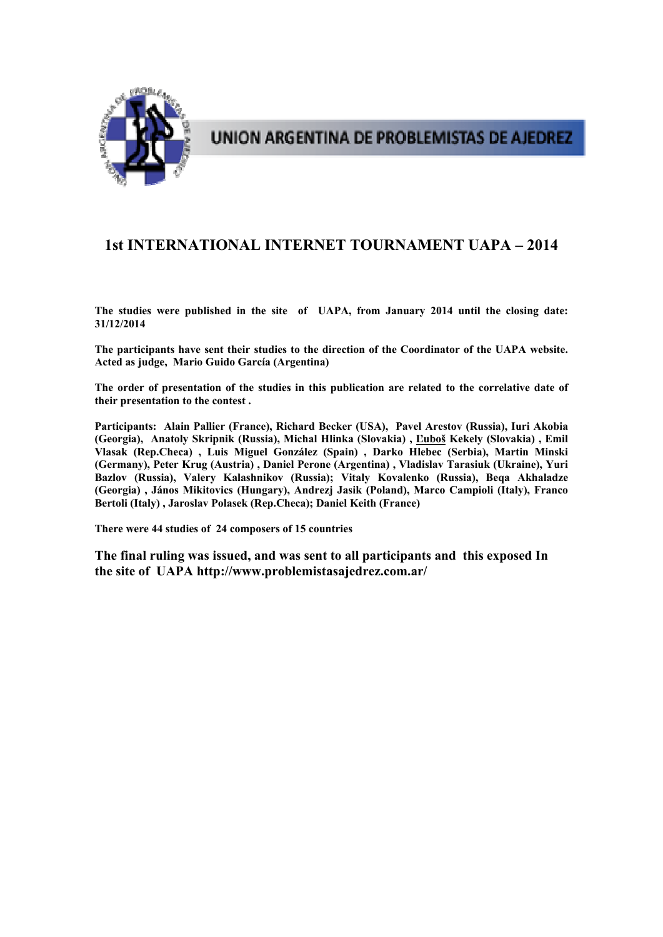

UNION ARGENTINA DE PROBLEMISTAS DE AJEDREZ

# **1st INTERNATIONAL INTERNET TOURNAMENT UAPA – 2014**

**The studies were published in the site of UAPA, from January 2014 until the closing date: 31/12/2014** 

**The participants have sent their studies to the direction of the Coordinator of the UAPA website. Acted as judge, Mario Guido García (Argentina)** 

**The order of presentation of the studies in this publication are related to the correlative date of their presentation to the contest .** 

**Participants: Alain Pallier (France), Richard Becker (USA), Pavel Arestov (Russia), Iuri Akobia (Georgia), Anatoly Skripnik (Russia), Michal Hlinka (Slovakia) , Ľuboš Kekely (Slovakia) , Emil Vlasak (Rep.Checa) , Luis Miguel González (Spain) , Darko Hlebec (Serbia), Martin Minski (Germany), Peter Krug (Austria) , Daniel Perone (Argentina) , Vladislav Tarasiuk (Ukraine), Yuri Bazlov (Russia), Valery Kalashnikov (Russia); Vitaly Kovalenko (Russia), Beqa Akhaladze (Georgia) , János Mikitovics (Hungary), Andrezj Jasik (Poland), Marco Campioli (Italy), Franco Bertoli (Italy) , Jaroslav Polasek (Rep.Checa); Daniel Keith (France)** 

**There were 44 studies of 24 composers of 15 countries** 

**The final ruling was issued, and was sent to all participants and this exposed In the site of UAPA http://www.problemistasajedrez.com.ar/**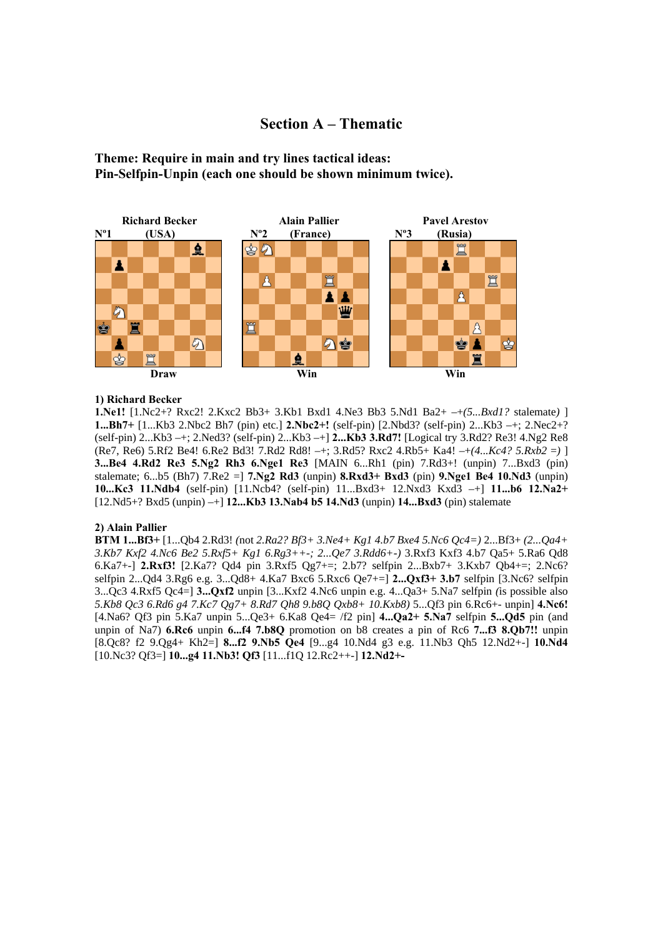# **Section A – Thematic**

**Theme: Require in main and try lines tactical ideas: Pin-Selfpin-Unpin (each one should be shown minimum twice).**



# **1) Richard Becker**

**1.Ne1!** [1.Nc2+? Rxc2! 2.Kxc2 Bb3+ 3.Kb1 Bxd1 4.Ne3 Bb3 5.Nd1 Ba2+ –+*(5...Bxd1?* stalemate*)* ] **1...Bh7+** [1...Kb3 2.Nbc2 Bh7 (pin) etc.] **2.Nbc2+!** (self-pin) [2.Nbd3? (self-pin) 2...Kb3 –+; 2.Nec2+? (self-pin) 2...Kb3 –+; 2.Ned3? (self-pin) 2...Kb3 –+] **2...Kb3 3.Rd7!** [Logical try 3.Rd2? Re3! 4.Ng2 Re8 (Re7, Re6) 5.Rf2 Be4! 6.Re2 Bd3! 7.Rd2 Rd8! –+; 3.Rd5? Rxc2 4.Rb5+ Ka4! –+*(4...Kc4? 5.Rxb2* =*)* ] **3...Be4 4.Rd2 Re3 5.Ng2 Rh3 6.Nge1 Re3** [MAIN 6...Rh1 (pin) 7.Rd3+! (unpin) 7...Bxd3 (pin) stalemate; 6...b5 (Bh7) 7.Re2 =] **7.Ng2 Rd3** (unpin) **8.Rxd3+ Bxd3** (pin) **9.Nge1 Be4 10.Nd3** (unpin) **10...Kc3 11.Ndb4** (self-pin) [11.Ncb4? (self-pin) 11...Bxd3+ 12.Nxd3 Kxd3 –+] **11...b6 12.Na2+**  [12.Nd5+? Bxd5 (unpin) –+] **12...Kb3 13.Nab4 b5 14.Nd3** (unpin) **14...Bxd3** (pin) stalemate

### **2) Alain Pallier**

**BTM 1...Bf3+** [1...Qb4 2.Rd3! *(*not *2.Ra2? Bf3+ 3.Ne4+ Kg1 4.b7 Bxe4 5.Nc6 Qc4=)* 2...Bf3+ *(2...Qa4+ 3.Kb7 Kxf2 4.Nc6 Be2 5.Rxf5+ Kg1 6.Rg3++-; 2...Qe7 3.Rdd6+-)* 3.Rxf3 Kxf3 4.b7 Qa5+ 5.Ra6 Qd8 6.Ka7+-] **2.Rxf3!** [2.Ka7? Qd4 pin 3.Rxf5 Qg7+=; 2.b7? selfpin 2...Bxb7+ 3.Kxb7 Qb4+=; 2.Nc6? selfpin 2...Qd4 3.Rg6 e.g. 3...Qd8+ 4.Ka7 Bxc6 5.Rxc6 Qe7+=] **2...Qxf3+ 3.b7** selfpin [3.Nc6? selfpin 3...Qc3 4.Rxf5 Qc4=] **3...Qxf2** unpin [3...Kxf2 4.Nc6 unpin e.g. 4...Qa3+ 5.Na7 selfpin *(*is possible also *5.Kb8 Qc3 6.Rd6 g4 7.Kc7 Qg7+ 8.Rd7 Qh8 9.b8Q Qxb8+ 10.Kxb8)* 5...Qf3 pin 6.Rc6+- unpin] **4.Nc6!**  [4.Na6? Qf3 pin 5.Ka7 unpin 5...Qe3+ 6.Ka8 Qe4= /f2 pin] **4...Qa2+ 5.Na7** selfpin **5...Qd5** pin (and unpin of Na7) **6.Rc6** unpin **6...f4 7.b8Q** promotion on b8 creates a pin of Rc6 **7...f3 8.Qb7!!** unpin [8.Qc8? f2 9.Qg4+ Kh2=] **8...f2 9.Nb5 Qe4** [9...g4 10.Nd4 g3 e.g. 11.Nb3 Qh5 12.Nd2+-] **10.Nd4**  [10.Nc3? Qf3=] **10...g4 11.Nb3! Qf3** [11...f1Q 12.Rc2++-] **12.Nd2+-**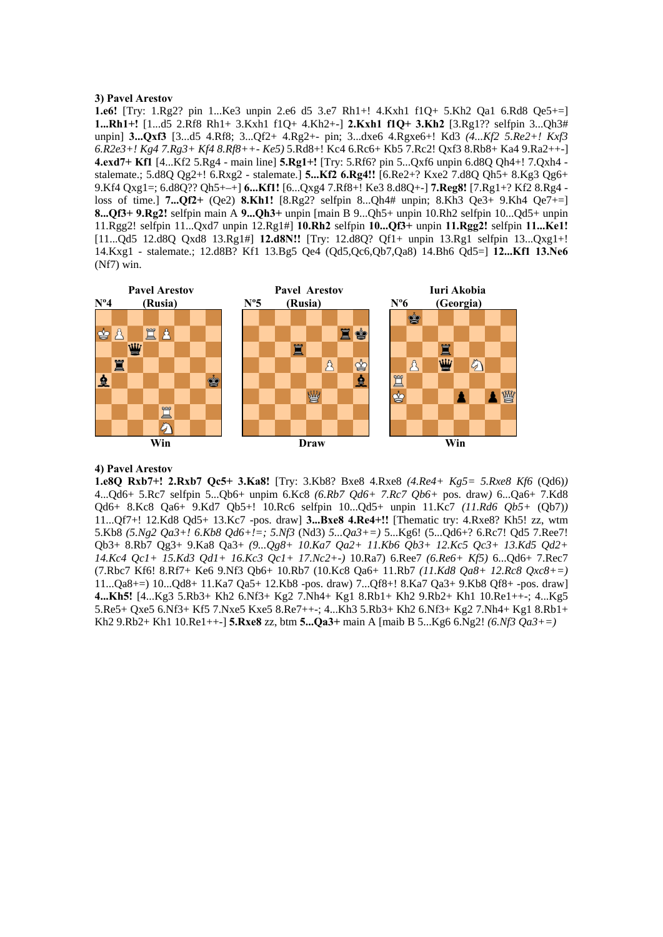# **3) Pavel Arestov**

**1.e6!** [Try: 1.Rg2? pin 1...Ke3 unpin 2.e6 d5 3.e7 Rh1+! 4.Kxh1 f1Q+ 5.Kh2 Qa1 6.Rd8 Qe5+=] **1...Rh1+!** [1...d5 2.Rf8 Rh1+ 3.Kxh1 f1Q+ 4.Kh2+-] **2.Kxh1 f1Q+ 3.Kh2** [3.Rg1?? selfpin 3...Qh3# unpin] **3...Qxf3** [3...d5 4.Rf8; 3...Qf2+ 4.Rg2+- pin; 3...dxe6 4.Rgxe6+! Kd3 *(4...Kf2 5.Re2+! Kxf3 6.R2e3+! Kg4 7.Rg3+ Kf4 8.Rf8++- Ke5)* 5.Rd8+! Kc4 6.Rc6+ Kb5 7.Rc2! Qxf3 8.Rb8+ Ka4 9.Ra2++-] **4.exd7+ Kf1** [4...Kf2 5.Rg4 - main line] **5.Rg1+!** [Try: 5.Rf6? pin 5...Qxf6 unpin 6.d8Q Qh4+! 7.Qxh4 stalemate.; 5.d8Q Qg2+! 6.Rxg2 - stalemate.] **5...Kf2 6.Rg4!!** [6.Re2+? Kxe2 7.d8Q Qh5+ 8.Kg3 Qg6+ 9.Kf4 Qxg1=; 6.d8Q?? Qh5+–+] **6...Kf1!** [6...Qxg4 7.Rf8+! Ke3 8.d8Q+-] **7.Reg8!** [7.Rg1+? Kf2 8.Rg4 loss of time.] **7...Qf2+** (Qe2) **8.Kh1!** [8.Rg2? selfpin 8...Qh4# unpin; 8.Kh3 Qe3+ 9.Kh4 Qe7+=] **8...Qf3+ 9.Rg2!** selfpin main A **9...Qh3+** unpin [main B 9...Qh5+ unpin 10.Rh2 selfpin 10...Qd5+ unpin 11.Rgg2! selfpin 11...Qxd7 unpin 12.Rg1#] **10.Rh2** selfpin **10...Qf3+** unpin **11.Rgg2!** selfpin **11...Ke1!**  [11...Qd5 12.d8Q Qxd8 13.Rg1#] **12.d8N!!** [Try: 12.d8Q? Qf1+ unpin 13.Rg1 selfpin 13...Qxg1+! 14.Kxg1 - stalemate.; 12.d8B? Kf1 13.Bg5 Qe4 (Qd5,Qc6,Qb7,Qa8) 14.Bh6 Qd5=] **12...Kf1 13.Ne6**  (Nf7) win.



# **4) Pavel Arestov**

**1.e8Q Rxb7+! 2.Rxb7 Qc5+ 3.Ka8!** [Try: 3.Kb8? Bxe8 4.Rxe8 *(4.Re4+ Kg5= 5.Rxe8 Kf6* (Qd6)*)*  4...Qd6+ 5.Rc7 selfpin 5...Qb6+ unpim 6.Kc8 *(6.Rb7 Qd6+ 7.Rc7 Qb6+* pos. draw*)* 6...Qa6+ 7.Kd8 Qd6+ 8.Kc8 Qa6+ 9.Kd7 Qb5+! 10.Rc6 selfpin 10...Qd5+ unpin 11.Kc7 *(11.Rd6 Qb5+* (Qb7)*)*  11...Qf7+! 12.Kd8 Qd5+ 13.Kc7 -pos. draw] **3...Bxe8 4.Re4+!!** [Thematic try: 4.Rxe8? Kh5! zz, wtm 5.Kb8 *(5.Ng2 Qa3+! 6.Kb8 Qd6+!=; 5.Nf3* (Nd3) *5...Qa3+=)* 5...Kg6! (5...Qd6+? 6.Rc7! Qd5 7.Ree7! Qb3+ 8.Rb7 Qg3+ 9.Ka8 Qa3+ *(9...Qg8+ 10.Ka7 Qa2+ 11.Kb6 Qb3+ 12.Kc5 Qc3+ 13.Kd5 Qd2+ 14.Kc4 Qc1+ 15.Kd3 Qd1+ 16.Kc3 Qc1+ 17.Nc2+-)* 10.Ra7) 6.Ree7 *(6.Re6+ Kf5)* 6...Qd6+ 7.Rec7 (7.Rbc7 Kf6! 8.Rf7+ Ke6 9.Nf3 Qb6+ 10.Rb7 (10.Kc8 Qa6+ 11.Rb7 *(11.Kd8 Qa8+ 12.Rc8 Qxc8+=)*  11...Qa8+=) 10...Qd8+ 11.Ka7 Qa5+ 12.Kb8 -pos. draw) 7...Qf8+! 8.Ka7 Qa3+ 9.Kb8 Qf8+ -pos. draw] **4...Kh5!** [4...Kg3 5.Rb3+ Kh2 6.Nf3+ Kg2 7.Nh4+ Kg1 8.Rb1+ Kh2 9.Rb2+ Kh1 10.Re1++-; 4...Kg5 5.Re5+ Qxe5 6.Nf3+ Kf5 7.Nxe5 Kxe5 8.Re7++-; 4...Kh3 5.Rb3+ Kh2 6.Nf3+ Kg2 7.Nh4+ Kg1 8.Rb1+ Kh2 9.Rb2+ Kh1 10.Re1++-] **5.Rxe8** zz, btm **5...Qa3+** main A [maib B 5...Kg6 6.Ng2! *(6.Nf3 Qa3+=)*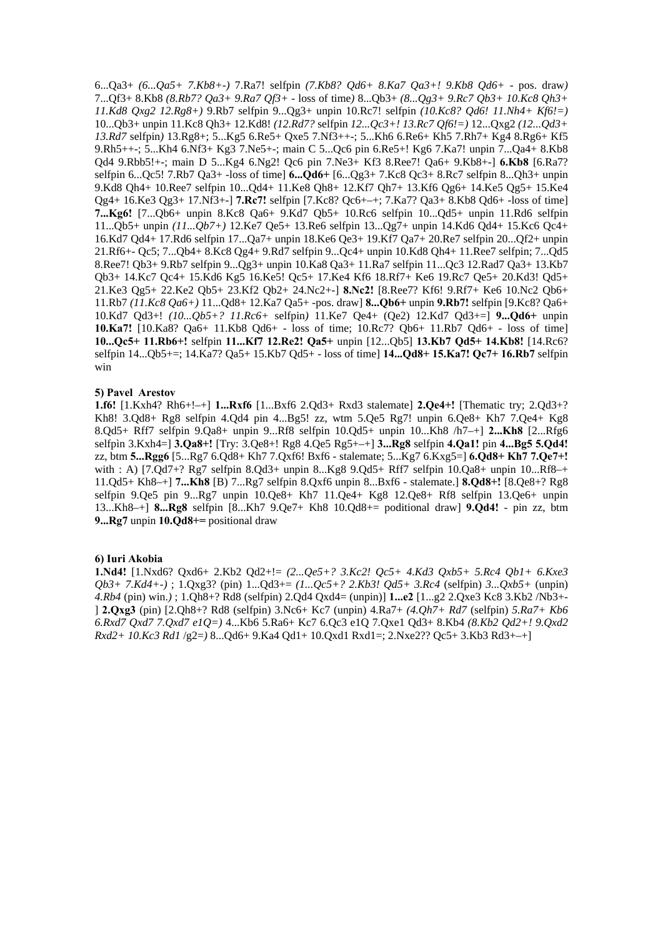6...Qa3+ *(6...Qa5+ 7.Kb8+-)* 7.Ra7! selfpin *(7.Kb8? Qd6+ 8.Ka7 Qa3+! 9.Kb8 Qd6+* - pos. draw*)*  7...Qf3+ 8.Kb8 *(8.Rb7? Qa3+ 9.Ra7 Qf3+* - loss of time*)* 8...Qb3+ *(8...Qg3+ 9.Rc7 Qb3+ 10.Kc8 Qh3+ 11.Kd8 Qxg2 12.Rg8+)* 9.Rb7 selfpin 9...Qg3+ unpin 10.Rc7! selfpin *(10.Kc8? Qd6! 11.Nh4+ Kf6!=)*  10...Qb3+ unpin 11.Kc8 Qh3+ 12.Kd8! *(12.Rd7?* selfpin *12...Qc3+! 13.Rc7 Qf6!=)* 12...Qxg2 *(12...Qd3+ 13.Rd7* selfpin*)* 13.Rg8+; 5...Kg5 6.Re5+ Qxe5 7.Nf3++-; 5...Kh6 6.Re6+ Kh5 7.Rh7+ Kg4 8.Rg6+ Kf5 9.Rh5++-; 5...Kh4 6.Nf3+ Kg3 7.Ne5+-; main C 5...Qc6 pin 6.Re5+! Kg6 7.Ka7! unpin 7...Qa4+ 8.Kb8 Qd4 9.Rbb5!+-; main D 5...Kg4 6.Ng2! Qc6 pin 7.Ne3+ Kf3 8.Ree7! Qa6+ 9.Kb8+-] **6.Kb8** [6.Ra7? selfpin 6...Qc5! 7.Rb7 Qa3+ -loss of time] **6...Qd6+** [6...Qg3+ 7.Kc8 Qc3+ 8.Rc7 selfpin 8...Qh3+ unpin 9.Kd8 Qh4+ 10.Ree7 selfpin 10...Qd4+ 11.Ke8 Qh8+ 12.Kf7 Qh7+ 13.Kf6 Qg6+ 14.Ke5 Qg5+ 15.Ke4 Qg4+ 16.Ke3 Qg3+ 17.Nf3+-] **7.Rc7!** selfpin [7.Kc8? Qc6+–+; 7.Ka7? Qa3+ 8.Kb8 Qd6+ -loss of time] **7...Kg6!** [7...Qb6+ unpin 8.Kc8 Qa6+ 9.Kd7 Qb5+ 10.Rc6 selfpin 10...Qd5+ unpin 11.Rd6 selfpin 11...Qb5+ unpin *(11...Qb7+)* 12.Ke7 Qe5+ 13.Re6 selfpin 13...Qg7+ unpin 14.Kd6 Qd4+ 15.Kc6 Qc4+ 16.Kd7 Qd4+ 17.Rd6 selfpin 17...Qa7+ unpin 18.Ke6 Qe3+ 19.Kf7 Qa7+ 20.Re7 selfpin 20...Qf2+ unpin 21.Rf6+- Qc5; 7...Qb4+ 8.Kc8 Qg4+ 9.Rd7 selfpin 9...Qc4+ unpin 10.Kd8 Qh4+ 11.Ree7 selfpin; 7...Qd5 8.Ree7! Qb3+ 9.Rb7 selfpin 9...Qg3+ unpin 10.Ka8 Qa3+ 11.Ra7 selfpin 11...Qc3 12.Rad7 Qa3+ 13.Kb7 Qb3+ 14.Kc7 Qc4+ 15.Kd6 Kg5 16.Ke5! Qc5+ 17.Ke4 Kf6 18.Rf7+ Ke6 19.Rc7 Qe5+ 20.Kd3! Qd5+ 21.Ke3 Qg5+ 22.Ke2 Qb5+ 23.Kf2 Qb2+ 24.Nc2+-] **8.Nc2!** [8.Ree7? Kf6! 9.Rf7+ Ke6 10.Nc2 Qb6+ 11.Rb7 *(11.Kc8 Qa6+)* 11...Qd8+ 12.Ka7 Qa5+ -pos. draw] **8...Qb6+** unpin **9.Rb7!** selfpin [9.Kc8? Qa6+ 10.Kd7 Qd3+! *(10...Qb5+? 11.Rc6+* selfpin*)* 11.Ke7 Qe4+ (Qe2) 12.Kd7 Qd3+=] **9...Qd6+** unpin **10.Ka7!** [10.Ka8? Qa6+ 11.Kb8 Qd6+ - loss of time; 10.Rc7? Qb6+ 11.Rb7 Qd6+ - loss of time] **10...Qc5+ 11.Rb6+!** selfpin **11...Kf7 12.Re2! Qa5+** unpin [12...Qb5] **13.Kb7 Qd5+ 14.Kb8!** [14.Rc6? selfpin 14...Qb5+=; 14.Ka7? Qa5+ 15.Kb7 Qd5+ - loss of time] **14...Qd8+ 15.Ka7! Qc7+ 16.Rb7** selfpin win

#### **5) Pavel Arestov**

**1.f6!** [1.Kxh4? Rh6+!–+] **1...Rxf6** [1...Bxf6 2.Qd3+ Rxd3 stalemate] **2.Qe4+!** [Thematic try; 2.Qd3+? Kh8! 3.Qd8+ Rg8 selfpin 4.Qd4 pin 4...Bg5! zz, wtm 5.Qe5 Rg7! unpin 6.Qe8+ Kh7 7.Qe4+ Kg8 8.Qd5+ Rff7 selfpin 9.Qa8+ unpin 9...Rf8 selfpin 10.Qd5+ unpin 10...Kh8 /h7–+] **2...Kh8** [2...Rfg6 selfpìn 3.Kxh4=] **3.Qa8+!** [Try: 3.Qe8+! Rg8 4.Qe5 Rg5+–+] **3...Rg8** selfpin **4.Qa1!** pin **4...Bg5 5.Qd4!**  zz, btm **5...Rgg6** [5...Rg7 6.Qd8+ Kh7 7.Qxf6! Bxf6 - stalemate; 5...Kg7 6.Kxg5=] **6.Qd8+ Kh7 7.Qe7+!**  with : A) [7.Qd7+? Rg7 selfpin 8.Qd3+ unpin 8...Kg8 9.Qd5+ Rff7 selfpin 10.Qa8+ unpin 10...Rf8-+ 11.Qd5+ Kh8–+] **7...Kh8** [B) 7...Rg7 selfpin 8.Qxf6 unpin 8...Bxf6 - stalemate.] **8.Qd8+!** [8.Qe8+? Rg8 selfpin 9.Qe5 pin 9...Rg7 unpin 10.Qe8+ Kh7 11.Qe4+ Kg8 12.Qe8+ Rf8 selfpin 13.Qe6+ unpin 13...Kh8–+] **8...Rg8** selfpin [8...Kh7 9.Qe7+ Kh8 10.Qd8+= poditional draw] **9.Qd4!** - pin zz, btm **9...Rg7** unpin **10.Qd8+=** positional draw

#### **6) Iuri Akobia**

**1.Nd4!** [1.Nxd6? Qxd6+ 2.Kb2 Qd2+!= *(2...Qe5+? 3.Kc2! Qc5+ 4.Kd3 Qxb5+ 5.Rc4 Qb1+ 6.Kxe3 Qb3+ 7.Kd4+-)* ; 1.Qxg3? (pin) 1...Qd3+= *(1...Qc5+? 2.Kb3! Qd5+ 3.Rc4* (selfpin) *3...Qxb5+* (unpin) *4.Rb4* (pin) win.*)* ; 1.Qh8+? Rd8 (selfpin) 2.Qd4 Qxd4= (unpin)] **1...e2** [1...g2 2.Qxe3 Kc8 3.Kb2 /Nb3+- ] **2.Qxg3** (pin) [2.Qh8+? Rd8 (selfpin) 3.Nc6+ Kc7 (unpin) 4.Ra7+ *(4.Qh7+ Rd7* (selfpin) *5.Ra7+ Kb6 6.Rxd7 Qxd7 7.Qxd7 e1Q=)* 4...Kb6 5.Ra6+ Kc7 6.Qc3 e1Q 7.Qxe1 Qd3+ 8.Kb4 *(8.Kb2 Qd2+! 9.Qxd2 Rxd2+ 10.Kc3 Rd1* /g2=*)* 8...Qd6+ 9.Ka4 Qd1+ 10.Qxd1 Rxd1=; 2.Nxe2?? Qc5+ 3.Kb3 Rd3+–+]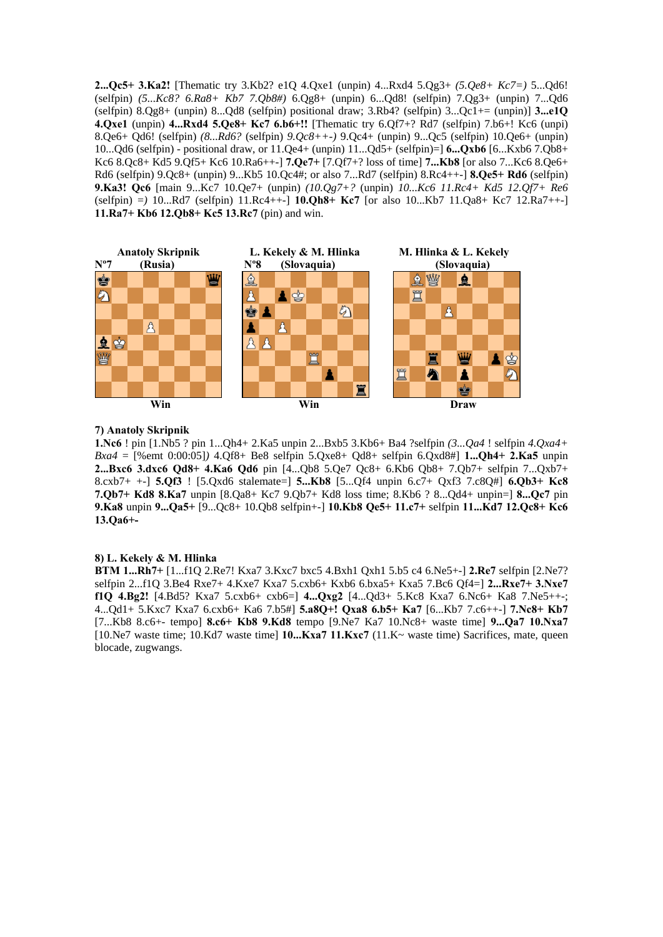**2...Qc5+ 3.Ka2!** [Thematic try 3.Kb2? e1Q 4.Qxe1 (unpin) 4...Rxd4 5.Qg3+ *(5.Qe8+ Kc7=)* 5...Qd6! (selfpin) *(5...Kc8? 6.Ra8+ Kb7 7.Qb8#)* 6.Qg8+ (unpin) 6...Qd8! (selfpin) 7.Qg3+ (unpin) 7...Qd6 (selfpin)  $8.0g8+$  (unpin)  $8...Qd8$  (selfpin) positional draw;  $3.Rb4$ ? (selfpin)  $3...Qc1+=$  (unpin)]  $3...e10$ **4.Qxe1** (unpin) **4...Rxd4 5.Qe8+ Kc7 6.b6+!!** [Thematic try 6.Qf7+? Rd7 (selfpin) 7.b6+! Kc6 (unpi) 8.Qe6+ Qd6! (selfpin) *(8...Rd6?* (selfpin) *9.Qc8++-)* 9.Qc4+ (unpin) 9...Qc5 (selfpin) 10.Qe6+ (unpin) 10...Qd6 (selfpin) - positional draw, or 11.Qe4+ (unpin) 11...Qd5+ (selfpin)=] **6...Qxb6** [6...Kxb6 7.Qb8+ Kc6 8.Qc8+ Kd5 9.Qf5+ Kc6 10.Ra6++-] **7.Qe7+** [7.Qf7+? loss of time] **7...Kb8** [or also 7...Kc6 8.Qe6+ Rd6 (selfpin) 9.Qc8+ (unpin) 9...Kb5 10.Qc4#; or also 7...Rd7 (selfpin) 8.Rc4++-] **8.Qe5+ Rd6** (selfpin) **9.Ka3! Qc6** [main 9...Kc7 10.Qe7+ (unpin) *(10.Qg7+?* (unpin) *10...Kc6 11.Rc4+ Kd5 12.Qf7+ Re6*  (selfpin) =*)* 10...Rd7 (selfpin) 11.Rc4++-] **10.Qh8+ Kc7** [or also 10...Kb7 11.Qa8+ Kc7 12.Ra7++-] **11.Ra7+ Kb6 12.Qb8+ Kc5 13.Rc7** (pin) and win.



# **7) Anatoly Skripnik**

**1.Nc6** ! pin [1.Nb5 ? pin 1...Qh4+ 2.Ka5 unpin 2...Bxb5 3.Kb6+ Ba4 ?selfpin *(3...Qa4* ! selfpin *4.Qxa4+ Bxa4* = [%emt 0:00:05]*)* 4.Qf8+ Be8 selfpin 5.Qxe8+ Qd8+ selfpin 6.Qxd8#] **1...Qh4+ 2.Ka5** unpin **2...Bxc6 3.dxc6 Qd8+ 4.Ka6 Qd6** pin [4...Qb8 5.Qe7 Qc8+ 6.Kb6 Qb8+ 7.Qb7+ selfpin 7...Qxb7+ 8.cxb7+ +-] **5.Qf3** ! [5.Qxd6 stalemate=] **5...Kb8** [5...Qf4 unpin 6.c7+ Qxf3 7.c8Q#] **6.Qb3+ Kc8 7.Qb7+ Kd8 8.Ka7** unpin [8.Qa8+ Kc7 9.Qb7+ Kd8 loss time; 8.Kb6 ? 8...Qd4+ unpin=] **8...Qc7** pin **9.Ka8** unpin **9...Qa5+** [9...Qc8+ 10.Qb8 selfpin+-] **10.Kb8 Qe5+ 11.c7+** selfpin **11...Kd7 12.Qc8+ Kc6 13.Qa6+-** 

### **8) L. Kekely & M. Hlinka**

**BTM 1...Rh7+** [1...f1Q 2.Re7! Kxa7 3.Kxc7 bxc5 4.Bxh1 Qxh1 5.b5 c4 6.Ne5+-] **2.Re7** selfpin [2.Ne7? selfpin 2...f1Q 3.Be4 Rxe7+ 4.Kxe7 Kxa7 5.cxb6+ Kxb6 6.bxa5+ Kxa5 7.Bc6 Qf4=] **2...Rxe7+ 3.Nxe7 f1Q 4.Bg2!** [4.Bd5? Kxa7 5.cxb6+ cxb6=] **4...Qxg2** [4...Qd3+ 5.Kc8 Kxa7 6.Nc6+ Ka8 7.Ne5++-; 4...Qd1+ 5.Kxc7 Kxa7 6.cxb6+ Ka6 7.b5#] **5.a8Q+! Qxa8 6.b5+ Ka7** [6...Kb7 7.c6++-] **7.Nc8+ Kb7**  [7...Kb8 8.c6+- tempo] **8.c6+ Kb8 9.Kd8** tempo [9.Ne7 Ka7 10.Nc8+ waste time] **9...Qa7 10.Nxa7**  [10.Ne7 waste time; 10.Kd7 waste time] **10...Kxa7 11.Kxc7** (11.K~ waste time) Sacrifices, mate, queen blocade, zugwangs.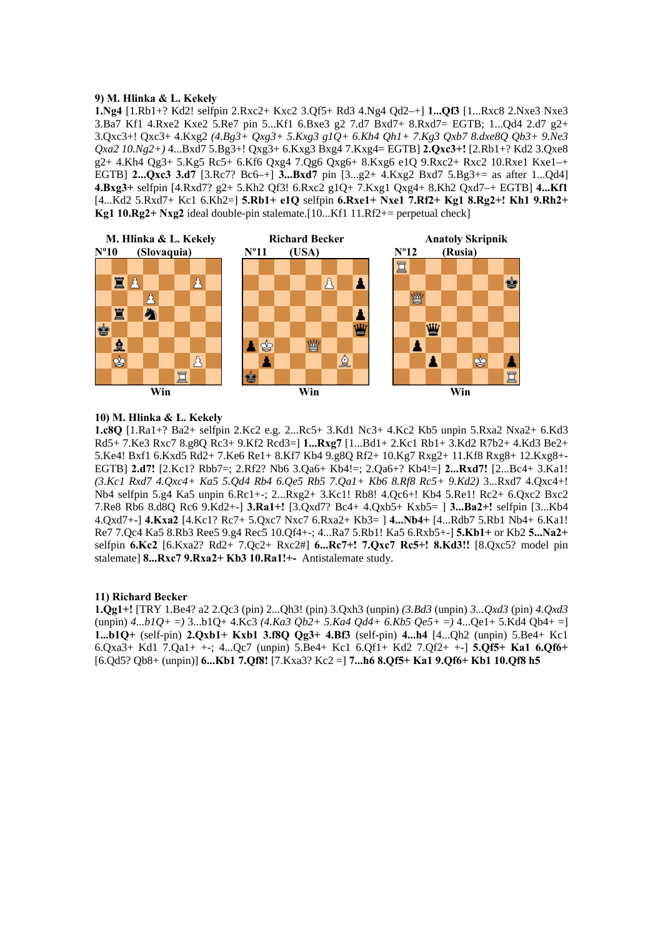# **9) M. Hlinka & L. Kekely**

**1.Ng4** [1.Rb1+? Kd2! selfpin 2.Rxc2+ Kxc2 3.Qf5+ Rd3 4.Ng4 Qd2–+] **1...Qf3** [1...Rxc8 2.Nxe3 Nxe3 3.Ba7 Kf1 4.Rxe2 Kxe2 5.Re7 pin 5...Kf1 6.Bxe3 g2 7.d7 Bxd7+ 8.Rxd7= EGTB; 1...Qd4 2.d7 g2+ 3.Qxc3+! Qxc3+ 4.Kxg2 *(4.Bg3+ Qxg3+ 5.Kxg3 g1Q+ 6.Kh4 Qh1+ 7.Kg3 Qxb7 8.dxe8Q Qb3+ 9.Ne3 Qxa2 10.Ng2+)* 4...Bxd7 5.Bg3+! Qxg3+ 6.Kxg3 Bxg4 7.Kxg4= EGTB] **2.Qxc3+!** [2.Rb1+? Kd2 3.Qxe8  $g2+4.$ Kh4 Qg3+ 5.Kg5 Rc5+ 6.Kf6 Qxg4 7.Qg6 Qxg6+ 8.Kxg6 e1Q 9.Rxc2+ Rxc2 10.Rxe1 Kxe1–+ EGTB] **2...Qxc3 3.d7** [3.Rc7? Bc6–+] **3...Bxd7** pin [3...g2+ 4.Kxg2 Bxd7 5.Bg3+= as after 1...Qd4] **4.Bxg3+** selfpin [4.Rxd7? g2+ 5.Kh2 Qf3! 6.Rxc2 g1Q+ 7.Kxg1 Qxg4+ 8.Kh2 Qxd7–+ EGTB] **4...Kf1**  [4...Kd2 5.Rxd7+ Kc1 6.Kh2=] **5.Rb1+ e1Q** selfpin **6.Rxe1+ Nxe1 7.Rf2+ Kg1 8.Rg2+! Kh1 9.Rh2+ Kg1 10.Rg2+ Nxg2** ideal double-pin stalemate.[10...Kf1 11.Rf2+= perpetual check]



# **10) M. Hlinka & L. Kekely**

**1.c8Q** [1.Ra1+? Ba2+ selfpin 2.Kc2 e.g. 2...Rc5+ 3.Kd1 Nc3+ 4.Kc2 Kb5 unpin 5.Rxa2 Nxa2+ 6.Kd3 Rd5+ 7.Ke3 Rxc7 8.g8Q Rc3+ 9.Kf2 Rcd3=] **1...Rxg7** [1...Bd1+ 2.Kc1 Rb1+ 3.Kd2 R7b2+ 4.Kd3 Be2+ 5.Ke4! Bxf1 6.Kxd5 Rd2+ 7.Ke6 Re1+ 8.Kf7 Kb4 9.g8Q Rf2+ 10.Kg7 Rxg2+ 11.Kf8 Rxg8+ 12.Kxg8+- EGTB] **2.d7!** [2.Kc1? Rbb7=; 2.Rf2? Nb6 3.Qa6+ Kb4!=; 2.Qa6+? Kb4!=] **2...Rxd7!** [2...Bc4+ 3.Ka1! *(3.Kc1 Rxd7 4.Qxc4+ Ka5 5.Qd4 Rb4 6.Qe5 Rb5 7.Qa1+ Kb6 8.Rf8 Rc5+ 9.Kd2)* 3...Rxd7 4.Qxc4+! Nb4 selfpin 5.g4 Ka5 unpin 6.Rc1+-; 2...Rxg2+ 3.Kc1! Rb8! 4.Qc6+! Kb4 5.Re1! Rc2+ 6.Qxc2 Bxc2 7.Re8 Rb6 8.d8Q Rc6 9.Kd2+-] **3.Ra1+!** [3.Qxd7? Bc4+ 4.Qxb5+ Kxb5= ] **3...Ba2+!** selfpin [3...Kb4 4.Qxd7+-] **4.Kxa2** [4.Kc1? Rc7+ 5.Qxc7 Nxc7 6.Rxa2+ Kb3= ] **4...Nb4+** [4...Rdb7 5.Rb1 Nb4+ 6.Ka1! Re7 7.Qc4 Ka5 8.Rb3 Ree5 9.g4 Rec5 10.Qf4+-; 4...Ra7 5.Rb1! Ka5 6.Rxb5+-] **5.Kb1+** or Kb2 **5...Na2+**  selfpin **6.Kc2** [6.Kxa2? Rd2+ 7.Qc2+ Rxc2#] **6...Rc7+! 7.Qxc7 Rc5+! 8.Kd3!!** [8.Qxc5? model pin stalemate] **8...Rxc7 9.Rxa2+ Kb3 10.Ra1!+-** Antistalemate study.

### **11) Richard Becker**

**1.Qg1+!** [TRY 1.Be4? a2 2.Qc3 (pin) 2...Qh3! (pin) 3.Qxh3 (unpin) *(3.Bd3* (unpin) *3...Qxd3* (pin) *4.Qxd3*   $(\text{unpin})$   $4...b1Q_+ = 3...b1Q_+$   $4. Kc3$   $(4. Ka3 Qb2 + 5. Ka4 Qd4 + 6. Kb5 Qe5 + 1)$   $4...Qe1 + 5. Kd4 Qb4 + 1$ **1...b1Q+** (self-pin) **2.Qxb1+ Kxb1 3.f8Q Qg3+ 4.Bf3** (self-pin) **4...h4** [4...Qh2 (unpin) 5.Be4+ Kc1 6.Qxa3+ Kd1 7.Qa1+ +-; 4...Qc7 (unpin) 5.Be4+ Kc1 6.Qf1+ Kd2 7.Qf2+ +-] **5.Qf5+ Ka1 6.Qf6+**  [6.Qd5? Qb8+ (unpin)] **6...Kb1 7.Qf8!** [7.Kxa3? Kc2 =] **7...h6 8.Qf5+ Ka1 9.Qf6+ Kb1 10.Qf8 h5**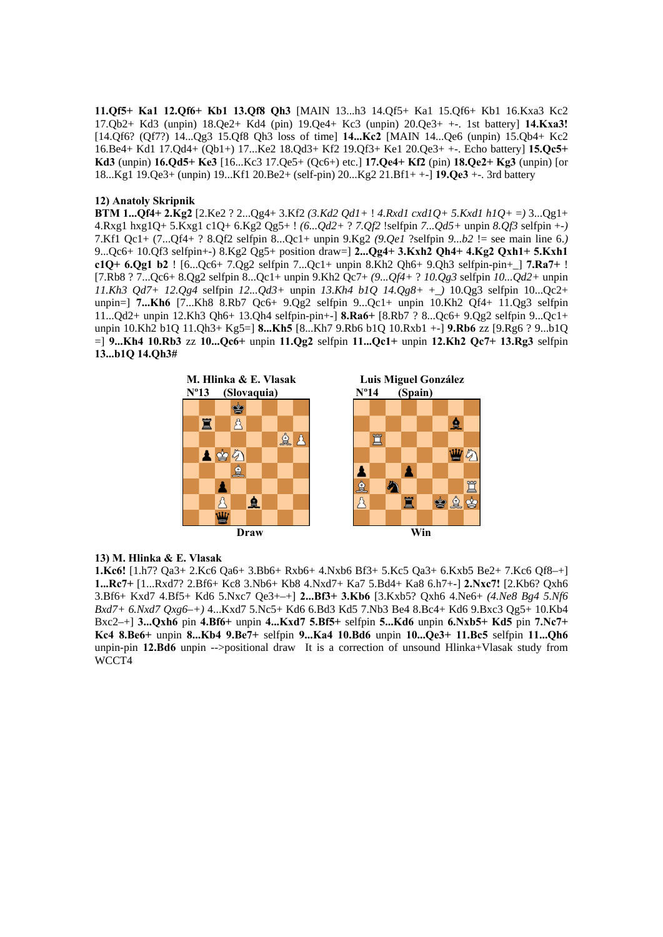**11.Qf5+ Ka1 12.Qf6+ Kb1 13.Qf8 Qh3** [MAIN 13...h3 14.Qf5+ Ka1 15.Qf6+ Kb1 16.Kxa3 Kc2 17.Qb2+ Kd3 (unpin) 18.Qe2+ Kd4 (pin) 19.Qe4+ Kc3 (unpin) 20.Qe3+ +-. 1st battery] **14.Kxa3!**  [14.Qf6? (Qf7?) 14...Qg3 15.Qf8 Qh3 loss of time] **14...Kc2** [MAIN 14...Qe6 (unpin) 15.Qb4+ Kc2 16.Be4+ Kd1 17.Qd4+ (Qb1+) 17...Ke2 18.Qd3+ Kf2 19.Qf3+ Ke1 20.Qe3+ +-. Echo battery] **15.Qc5+ Kd3** (unpin) **16.Qd5+ Ke3** [16...Kc3 17.Qe5+ (Qc6+) etc.] **17.Qe4+ Kf2** (pin) **18.Qe2+ Kg3** (unpin) [or 18...Kg1 19.Qe3+ (unpin) 19...Kf1 20.Be2+ (self-pin) 20...Kg2 21.Bf1+ +-] **19.Qe3** +-. 3rd battery

# **12) Anatoly Skripnik**

**BTM 1...Qf4+ 2.Kg2** [2.Ke2 ? 2...Qg4+ 3.Kf2 *(3.Kd2 Qd1+* ! *4.Rxd1 cxd1Q+ 5.Kxd1 h1Q+* =*)* 3...Qg1+ 4.Rxg1 hxg1Q+ 5.Kxg1 c1Q+ 6.Kg2 Qg5+ ! *(6...Qd2+* ? *7.Qf2* !selfpin *7...Qd5+* unpin *8.Qf3* selfpin +-*)*  7.Kf1 Qc1+ (7...Qf4+ ? 8.Qf2 selfpin 8...Qc1+ unpin 9.Kg2 *(9.Qe1* ?selfpin *9...b2* != see main line 6.*)*  9...Qc6+ 10.Qf3 selfpin+-) 8.Kg2 Qg5+ position draw=] **2...Qg4+ 3.Kxh2 Qh4+ 4.Kg2 Qxh1+ 5.Kxh1 c1Q+ 6.Qg1 b2** ! [6...Qc6+ 7.Qg2 selfpin 7...Qc1+ unpin 8.Kh2 Qh6+ 9.Qh3 selfpin-pin+\_] **7.Ra7+** ! [7.Rb8 ? 7...Qc6+ 8.Qg2 selfpin 8...Qc1+ unpin 9.Kh2 Qc7+ *(9...Qf4+* ? *10.Qg3* selfpin *10...Qd2+* unpin *11.Kh3 Qd7+ 12.Qg4* selfpin *12...Qd3+* unpin *13.Kh4 b1Q 14.Qg8+* +\_*)* 10.Qg3 selfpin 10...Qc2+ unpin=] **7...Kh6** [7...Kh8 8.Rb7 Qc6+ 9.Qg2 selfpin 9...Qc1+ unpin 10.Kh2 Qf4+ 11.Qg3 selfpin 11...Qd2+ unpin 12.Kh3 Qh6+ 13.Qh4 selfpin-pin+-] **8.Ra6+** [8.Rb7 ? 8...Qc6+ 9.Qg2 selfpin 9...Qc1+ unpin 10.Kh2 b1Q 11.Qh3+ Kg5=] **8...Kh5** [8...Kh7 9.Rb6 b1Q 10.Rxb1 +-] **9.Rb6** zz [9.Rg6 ? 9...b1Q =] **9...Kh4 10.Rb3** zz **10...Qc6+** unpin **11.Qg2** selfpin **11...Qc1+** unpin **12.Kh2 Qc7+ 13.Rg3** selfpin **13...b1Q 14.Qh3#** 



### **13) M. Hlinka & E. Vlasak**

**1.Kc6!** [1.h7? Qa3+ 2.Kc6 Qa6+ 3.Bb6+ Rxb6+ 4.Nxb6 Bf3+ 5.Kc5 Qa3+ 6.Kxb5 Be2+ 7.Kc6 Qf8–+] **1...Rc7+** [1...Rxd7? 2.Bf6+ Kc8 3.Nb6+ Kb8 4.Nxd7+ Ka7 5.Bd4+ Ka8 6.h7+-] **2.Nxc7!** [2.Kb6? Qxh6 3.Bf6+ Kxd7 4.Bf5+ Kd6 5.Nxc7 Qe3+–+] **2...Bf3+ 3.Kb6** [3.Kxb5? Qxh6 4.Ne6+ *(4.Ne8 Bg4 5.Nf6 Bxd7+ 6.Nxd7 Qxg6–+)* 4...Kxd7 5.Nc5+ Kd6 6.Bd3 Kd5 7.Nb3 Be4 8.Bc4+ Kd6 9.Bxc3 Qg5+ 10.Kb4 Bxc2–+] **3...Qxh6** pin **4.Bf6+** unpin **4...Kxd7 5.Bf5+** selfpin **5...Kd6** unpin **6.Nxb5+ Kd5** pin **7.Nc7+ Kc4 8.Be6+** unpin **8...Kb4 9.Be7+** selfpin **9...Ka4 10.Bd6** unpin **10...Qe3+ 11.Bc5** selfpin **11...Qh6**  unpin-pin **12.Bd6** unpin -->positional draw It is a correction of unsound Hlinka+Vlasak study from WCCT4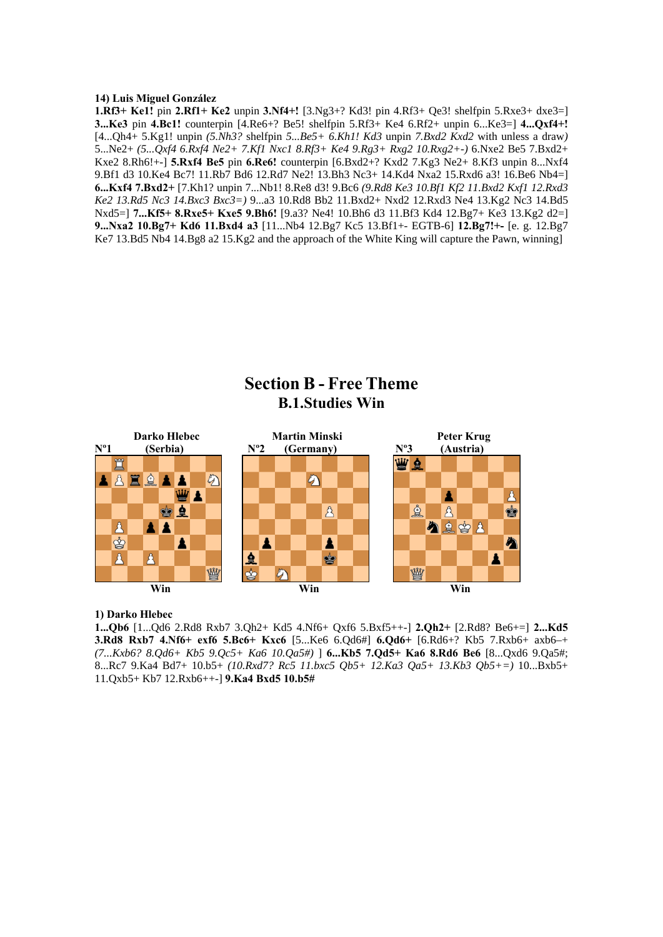# **14) Luis Miguel González**

**1.Rf3+ Ke1!** pin **2.Rf1+ Ke2** unpin **3.Nf4+!** [3.Ng3+? Kd3! pin 4.Rf3+ Qe3! shelfpin 5.Rxe3+ dxe3=] **3...Ke3** pin **4.Bc1!** counterpin [4.Re6+? Be5! shelfpin 5.Rf3+ Ke4 6.Rf2+ unpin 6...Ke3=] **4...Qxf4+!**  [4...Qh4+ 5.Kg1! unpin *(5.Nh3?* shelfpin *5...Be5+ 6.Kh1! Kd3* unpin *7.Bxd2 Kxd2* with unless a draw*)*  5...Ne2+ *(5...Qxf4 6.Rxf4 Ne2+ 7.Kf1 Nxc1 8.Rf3+ Ke4 9.Rg3+ Rxg2 10.Rxg2+-)* 6.Nxe2 Be5 7.Bxd2+ Kxe2 8.Rh6!+-] **5.Rxf4 Be5** pin **6.Re6!** counterpin [6.Bxd2+? Kxd2 7.Kg3 Ne2+ 8.Kf3 unpin 8...Nxf4 9.Bf1 d3 10.Ke4 Bc7! 11.Rb7 Bd6 12.Rd7 Ne2! 13.Bh3 Nc3+ 14.Kd4 Nxa2 15.Rxd6 a3! 16.Be6 Nb4=] **6...Kxf4 7.Bxd2+** [7.Kh1? unpin 7...Nb1! 8.Re8 d3! 9.Bc6 *(9.Rd8 Ke3 10.Bf1 Kf2 11.Bxd2 Kxf1 12.Rxd3 Ke2 13.Rd5 Nc3 14.Bxc3 Bxc3=)* 9...a3 10.Rd8 Bb2 11.Bxd2+ Nxd2 12.Rxd3 Ne4 13.Kg2 Nc3 14.Bd5 Nxd5=] **7...Kf5+ 8.Rxe5+ Kxe5 9.Bh6!** [9.a3? Ne4! 10.Bh6 d3 11.Bf3 Kd4 12.Bg7+ Ke3 13.Kg2 d2=] **9...Nxa2 10.Bg7+ Kd6 11.Bxd4 a3** [11...Nb4 12.Bg7 Kc5 13.Bf1+- EGTB-6] **12.Bg7!+-** [e. g. 12.Bg7 Ke7 13.Bd5 Nb4 14.Bg8 a2 15.Kg2 and the approach of the White King will capture the Pawn, winning]

# **Section B - Free Theme B.1.Studies Win**



# **1) Darko Hlebec**

**1...Qb6** [1...Qd6 2.Rd8 Rxb7 3.Qh2+ Kd5 4.Nf6+ Qxf6 5.Bxf5++-] **2.Qh2+** [2.Rd8? Be6+=] **2...Kd5 3.Rd8 Rxb7 4.Nf6+ exf6 5.Bc6+ Kxc6** [5...Ke6 6.Qd6#] **6.Qd6+** [6.Rd6+? Kb5 7.Rxb6+ axb6–+ *(7...Kxb6? 8.Qd6+ Kb5 9.Qc5+ Ka6 10.Qa5#)* ] **6...Kb5 7.Qd5+ Ka6 8.Rd6 Be6** [8...Qxd6 9.Qa5#; 8...Rc7 9.Ka4 Bd7+ 10.b5+ *(10.Rxd7? Rc5 11.bxc5 Qb5+ 12.Ka3 Qa5+ 13.Kb3 Qb5+=)* 10...Bxb5+ 11.Qxb5+ Kb7 12.Rxb6++-] **9.Ka4 Bxd5 10.b5#**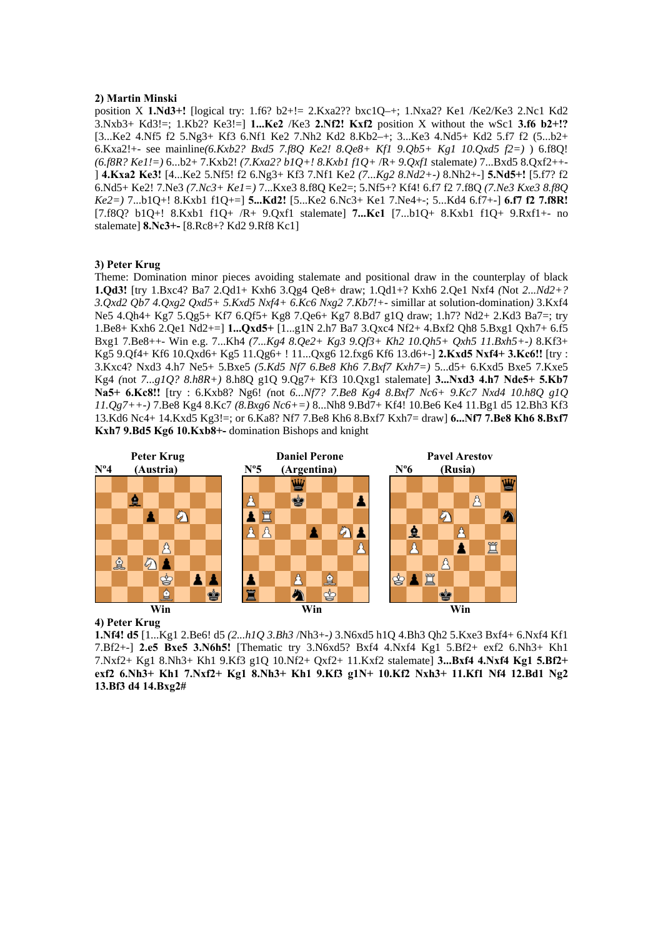#### **2) Martin Minski**

position X **1.Nd3+!** [logical try: 1.f6? b2+!= 2.Kxa2?? bxc1Q–+; 1.Nxa2? Ke1 /Ke2/Ke3 2.Nc1 Kd2 3.Nxb3+ Kd3!=; 1.Kb2? Ke3!=] **1...Ke2** /Ke3 **2.Nf2! Kxf2** position X without the wSc1 **3.f6 b2+!?**  [3...Ke2 4.Nf5 f2 5.Ng3+ Kf3 6.Nf1 Ke2 7.Nh2 Kd2 8.Kb2–+; 3...Ke3 4.Nd5+ Kd2 5.f7 f2 (5...b2+ 6.Kxa2!+- see mainline*(6.Kxb2? Bxd5 7.f8Q Ke2! 8.Qe8+ Kf1 9.Qb5+ Kg1 10.Qxd5 f2=)* ) 6.f8Q! *(6.f8R? Ke1!=)* 6...b2+ 7.Kxb2! *(7.Kxa2? b1Q+! 8.Kxb1 f1Q+* /R+ *9.Qxf1* stalemate*)* 7...Bxd5 8.Qxf2++- ] **4.Kxa2 Ke3!** [4...Ke2 5.Nf5! f2 6.Ng3+ Kf3 7.Nf1 Ke2 *(7...Kg2 8.Nd2+-)* 8.Nh2+-] **5.Nd5+!** [5.f7? f2 6.Nd5+ Ke2! 7.Ne3 *(7.Nc3+ Ke1=)* 7...Kxe3 8.f8Q Ke2=; 5.Nf5+? Kf4! 6.f7 f2 7.f8Q *(7.Ne3 Kxe3 8.f8Q Ke2=)* 7...b1Q+! 8.Kxb1 f1Q+=] **5...Kd2!** [5...Ke2 6.Nc3+ Ke1 7.Ne4+-; 5...Kd4 6.f7+-] **6.f7 f2 7.f8R!**  [7.f8Q? b1Q+! 8.Kxb1 f1Q+ /R+ 9.Qxf1 stalemate] **7...Kc1** [7...b1Q+ 8.Kxb1 f1Q+ 9.Rxf1+- no stalemate] **8.Nc3+-** [8.Rc8+? Kd2 9.Rf8 Kc1]

# **3) Peter Krug**

Theme: Domination minor pieces avoiding stalemate and positional draw in the counterplay of black **1.Qd3!** [try 1.Bxc4? Ba7 2.Qd1+ Kxh6 3.Qg4 Qe8+ draw; 1.Qd1+? Kxh6 2.Qe1 Nxf4 *(*Not *2...Nd2+? 3.Qxd2 Qb7 4.Qxg2 Qxd5+ 5.Kxd5 Nxf4+ 6.Kc6 Nxg2 7.Kb7!+-* simillar at solution-domination*)* 3.Kxf4 Ne5 4.Qh4+ Kg7 5.Qg5+ Kf7 6.Qf5+ Kg8 7.Qe6+ Kg7 8.Bd7 g1Q draw; 1.h7? Nd2+ 2.Kd3 Ba7=; try 1.Be8+ Kxh6 2.Qe1 Nd2+=] **1...Qxd5+** [1...g1N 2.h7 Ba7 3.Qxc4 Nf2+ 4.Bxf2 Qh8 5.Bxg1 Qxh7+ 6.f5 Bxg1 7.Be8++- Win e.g. 7...Kh4 *(7...Kg4 8.Qe2+ Kg3 9.Qf3+ Kh2 10.Qh5+ Qxh5 11.Bxh5+-)* 8.Kf3+ Kg5 9.Qf4+ Kf6 10.Qxd6+ Kg5 11.Qg6+ ! 11...Qxg6 12.fxg6 Kf6 13.d6+-] **2.Kxd5 Nxf4+ 3.Kc6!!** [try : 3.Kxc4? Nxd3 4.h7 Ne5+ 5.Bxe5 *(5.Kd5 Nf7 6.Be8 Kh6 7.Bxf7 Kxh7=)* 5...d5+ 6.Kxd5 Bxe5 7.Kxe5 Kg4 *(*not *7...g1Q? 8.h8R+)* 8.h8Q g1Q 9.Qg7+ Kf3 10.Qxg1 stalemate] **3...Nxd3 4.h7 Nde5+ 5.Kb7 Na5+ 6.Kc8!!** [try : 6.Kxb8? Ng6! *(*not *6...Nf7? 7.Be8 Kg4 8.Bxf7 Nc6+ 9.Kc7 Nxd4 10.h8Q g1Q 11.Qg7++-)* 7.Be8 Kg4 8.Kc7 *(8.Bxg6 Nc6+=)* 8...Nh8 9.Bd7+ Kf4! 10.Be6 Ke4 11.Bg1 d5 12.Bh3 Kf3 13.Kd6 Nc4+ 14.Kxd5 Kg3!=; or 6.Ka8? Nf7 7.Be8 Kh6 8.Bxf7 Kxh7= draw] **6...Nf7 7.Be8 Kh6 8.Bxf7 Kxh7 9.Bd5 Kg6 10.Kxb8+-** domination Bishops and knight



# **4) Peter Krug**

**1.Nf4! d5** [1...Kg1 2.Be6! d5 *(2...h1Q 3.Bh3* /Nh3+-*)* 3.N6xd5 h1Q 4.Bh3 Qh2 5.Kxe3 Bxf4+ 6.Nxf4 Kf1 7.Bf2+-] **2.e5 Bxe5 3.N6h5!** [Thematic try 3.N6xd5? Bxf4 4.Nxf4 Kg1 5.Bf2+ exf2 6.Nh3+ Kh1 7.Nxf2+ Kg1 8.Nh3+ Kh1 9.Kf3 g1Q 10.Nf2+ Qxf2+ 11.Kxf2 stalemate] **3...Bxf4 4.Nxf4 Kg1 5.Bf2+ exf2 6.Nh3+ Kh1 7.Nxf2+ Kg1 8.Nh3+ Kh1 9.Kf3 g1N+ 10.Kf2 Nxh3+ 11.Kf1 Nf4 12.Bd1 Ng2 13.Bf3 d4 14.Bxg2#**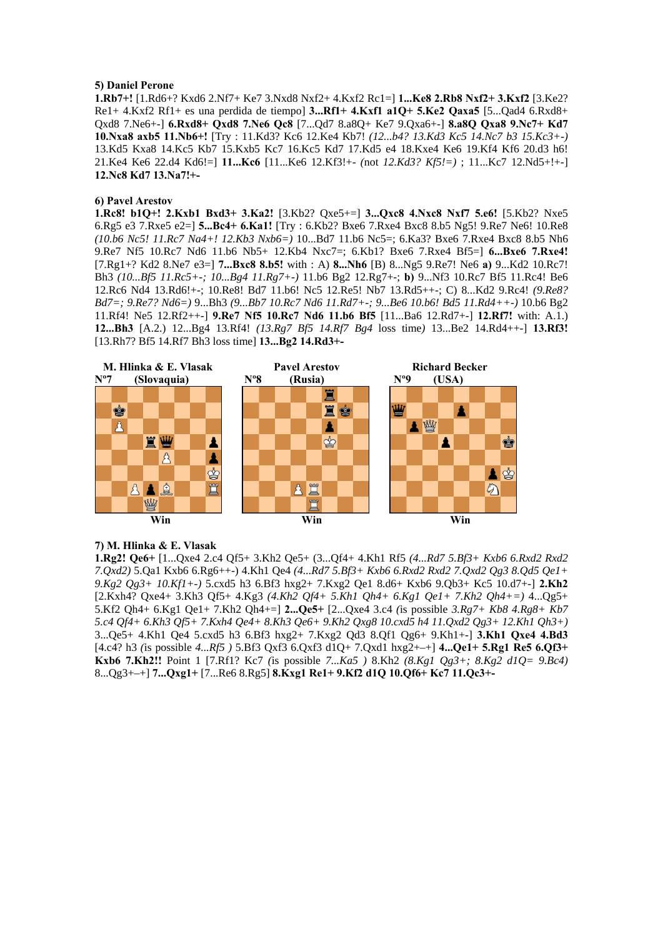#### **5) Daniel Perone**

**1.Rb7+!** [1.Rd6+? Kxd6 2.Nf7+ Ke7 3.Nxd8 Nxf2+ 4.Kxf2 Rc1=] **1...Ke8 2.Rb8 Nxf2+ 3.Kxf2** [3.Ke2? Re1+ 4.Kxf2 Rf1+ es una perdida de tiempo] **3...Rf1+ 4.Kxf1 a1Q+ 5.Ke2 Qaxa5** [5...Qad4 6.Rxd8+ Qxd8 7.Ne6+-] **6.Rxd8+ Qxd8 7.Ne6 Qc8** [7...Qd7 8.a8Q+ Ke7 9.Qxa6+-] **8.a8Q Qxa8 9.Nc7+ Kd7 10.Nxa8 axb5 11.Nb6+!** [Try : 11.Kd3? Kc6 12.Ke4 Kb7! *(12...b4? 13.Kd3 Kc5 14.Nc7 b3 15.Kc3+-)*  13.Kd5 Kxa8 14.Kc5 Kb7 15.Kxb5 Kc7 16.Kc5 Kd7 17.Kd5 e4 18.Kxe4 Ke6 19.Kf4 Kf6 20.d3 h6! 21.Ke4 Ke6 22.d4 Kd6!=] **11...Kc6** [11...Ke6 12.Kf3!+- *(*not *12.Kd3? Kf5!=)* ; 11...Kc7 12.Nd5+!+-] **12.Nc8 Kd7 13.Na7!+-** 

# **6) Pavel Arestov**

**1.Rc8! b1Q+! 2.Kxb1 Bxd3+ 3.Ka2!** [3.Kb2? Qxe5+=] **3...Qxc8 4.Nxc8 Nxf7 5.e6!** [5.Kb2? Nxe5 6.Rg5 e3 7.Rxe5 e2=] **5...Bc4+ 6.Ka1!** [Try : 6.Kb2? Bxe6 7.Rxe4 Bxc8 8.b5 Ng5! 9.Re7 Ne6! 10.Re8 *(10.b6 Nc5! 11.Rc7 Na4+! 12.Kb3 Nxb6=)* 10...Bd7 11.b6 Nc5=; 6.Ka3? Bxe6 7.Rxe4 Bxc8 8.b5 Nh6 9.Re7 Nf5 10.Rc7 Nd6 11.b6 Nb5+ 12.Kb4 Nxc7=; 6.Kb1? Bxe6 7.Rxe4 Bf5=] **6...Bxe6 7.Rxe4!**  [7.Rg1+? Kd2 8.Ne7 e3=] **7...Bxc8 8.b5!** with : A) **8...Nh6** [B) 8...Ng5 9.Re7! Ne6 **a)** 9...Kd2 10.Rc7! Bh3 *(10...Bf5 11.Rc5+-; 10...Bg4 11.Rg7+-)* 11.b6 Bg2 12.Rg7+-; **b)** 9...Nf3 10.Rc7 Bf5 11.Rc4! Be6 12.Rc6 Nd4 13.Rd6!+-; 10.Re8! Bd7 11.b6! Nc5 12.Re5! Nb7 13.Rd5++-; C) 8...Kd2 9.Rc4! *(9.Re8? Bd7=; 9.Re7? Nd6=)* 9...Bh3 *(9...Bb7 10.Rc7 Nd6 11.Rd7+-; 9...Be6 10.b6! Bd5 11.Rd4++-)* 10.b6 Bg2 11.Rf4! Ne5 12.Rf2++-] **9.Re7 Nf5 10.Rc7 Nd6 11.b6 Bf5** [11...Ba6 12.Rd7+-] **12.Rf7!** with: A.1.) **12...Bh3** [A.2.) 12...Bg4 13.Rf4! *(13.Rg7 Bf5 14.Rf7 Bg4* loss time*)* 13...Be2 14.Rd4++-] **13.Rf3!**  [13.Rh7? Bf5 14.Rf7 Bh3 loss time] **13...Bg2 14.Rd3+-** 



#### **7) M. Hlinka & E. Vlasak**

**1.Rg2! Qe6+** [1...Qxe4 2.c4 Qf5+ 3.Kh2 Qe5+ (3...Qf4+ 4.Kh1 Rf5 *(4...Rd7 5.Bf3+ Kxb6 6.Rxd2 Rxd2 7.Qxd2)* 5.Qa1 Kxb6 6.Rg6++-) 4.Kh1 Qe4 *(4...Rd7 5.Bf3+ Kxb6 6.Rxd2 Rxd2 7.Qxd2 Qg3 8.Qd5 Qe1+ 9.Kg2 Qg3+ 10.Kf1+-)* 5.cxd5 h3 6.Bf3 hxg2+ 7.Kxg2 Qe1 8.d6+ Kxb6 9.Qb3+ Kc5 10.d7+-] **2.Kh2**  [2.Kxh4? Qxe4+ 3.Kh3 Qf5+ 4.Kg3 *(4.Kh2 Qf4+ 5.Kh1 Qh4+ 6.Kg1 Qe1+ 7.Kh2 Qh4+=)* 4...Qg5+ 5.Kf2 Qh4+ 6.Kg1 Qe1+ 7.Kh2 Qh4+=] **2...Qe5+** [2...Qxe4 3.c4 *(*is possible *3.Rg7+ Kb8 4.Rg8+ Kb7 5.c4 Qf4+ 6.Kh3 Qf5+ 7.Kxh4 Qe4+ 8.Kh3 Qe6+ 9.Kh2 Qxg8 10.cxd5 h4 11.Qxd2 Qg3+ 12.Kh1 Qh3+)*  3...Qe5+ 4.Kh1 Qe4 5.cxd5 h3 6.Bf3 hxg2+ 7.Kxg2 Qd3 8.Qf1 Qg6+ 9.Kh1+-] **3.Kh1 Qxe4 4.Bd3**  [4.c4? h3 *(*is possible *4...Rf5 )* 5.Bf3 Qxf3 6.Qxf3 d1Q+ 7.Qxd1 hxg2+–+] **4...Qe1+ 5.Rg1 Re5 6.Qf3+ Kxb6 7.Kh2!!** Point 1 [7.Rf1? Kc7 *(*is possible *7...Ka5 )* 8.Kh2 *(8.Kg1 Qg3+; 8.Kg2 d1Q= 9.Bc4)*  8...Qg3+–+] **7...Qxg1+** [7...Re6 8.Rg5] **8.Kxg1 Re1+ 9.Kf2 d1Q 10.Qf6+ Kc7 11.Qc3+-**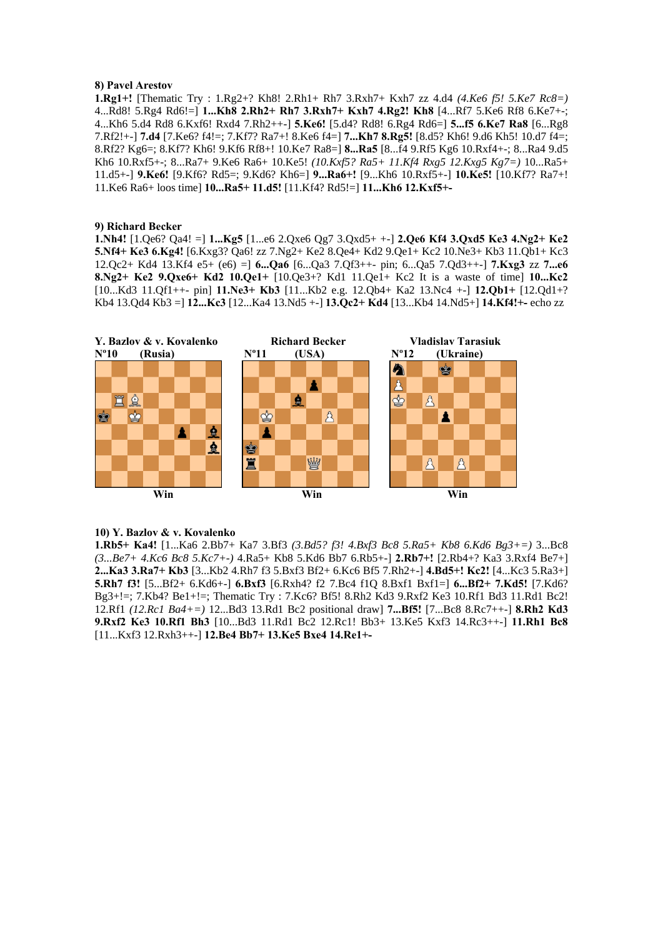#### **8) Pavel Arestov**

**1.Rg1+!** [Thematic Try : 1.Rg2+? Kh8! 2.Rh1+ Rh7 3.Rxh7+ Kxh7 zz 4.d4 *(4.Ke6 f5! 5.Ke7 Rc8=)*  4...Rd8! 5.Rg4 Rd6!=] **1...Kh8 2.Rh2+ Rh7 3.Rxh7+ Kxh7 4.Rg2! Kh8** [4...Rf7 5.Ke6 Rf8 6.Ke7+-; 4...Kh6 5.d4 Rd8 6.Kxf6! Rxd4 7.Rh2++-] **5.Ke6!** [5.d4? Rd8! 6.Rg4 Rd6=] **5...f5 6.Ke7 Ra8** [6...Rg8 7.Rf2!+-] **7.d4** [7.Ke6? f4!=; 7.Kf7? Ra7+! 8.Ke6 f4=] **7...Kh7 8.Rg5!** [8.d5? Kh6! 9.d6 Kh5! 10.d7 f4=; 8.Rf2? Kg6=; 8.Kf7? Kh6! 9.Kf6 Rf8+! 10.Ke7 Ra8=] **8...Ra5** [8...f4 9.Rf5 Kg6 10.Rxf4+-; 8...Ra4 9.d5 Kh6 10.Rxf5+-; 8...Ra7+ 9.Ke6 Ra6+ 10.Ke5! *(10.Kxf5? Ra5+ 11.Kf4 Rxg5 12.Kxg5 Kg7=)* 10...Ra5+ 11.d5+-] **9.Ke6!** [9.Kf6? Rd5=; 9.Kd6? Kh6=] **9...Ra6+!** [9...Kh6 10.Rxf5+-] **10.Ke5!** [10.Kf7? Ra7+! 11.Ke6 Ra6+ loos time] **10...Ra5+ 11.d5!** [11.Kf4? Rd5!=] **11...Kh6 12.Kxf5+-** 

#### **9) Richard Becker**

**1.Nh4!** [1.Qe6? Qa4! =] **1...Kg5** [1...e6 2.Qxe6 Qg7 3.Qxd5+ +-] **2.Qe6 Kf4 3.Qxd5 Ke3 4.Ng2+ Ke2 5.Nf4+ Ke3 6.Kg4!** [6.Kxg3? Qa6! zz 7.Ng2+ Ke2 8.Qe4+ Kd2 9.Qe1+ Kc2 10.Ne3+ Kb3 11.Qb1+ Kc3 12.Qc2+ Kd4 13.Kf4 e5+ (e6) =] **6...Qa6** [6...Qa3 7.Qf3++- pin; 6...Qa5 7.Qd3++-] **7.Kxg3** zz **7...e6 8.Ng2+ Ke2 9.Qxe6+ Kd2 10.Qe1+** [10.Qe3+? Kd1 11.Qe1+ Kc2 It is a waste of time] **10...Kc2**  [10...Kd3 11.Qf1++- pin] **11.Ne3+ Kb3** [11...Kb2 e.g. 12.Qb4+ Ka2 13.Nc4 +-] **12.Qb1+** [12.Qd1+? Kb4 13.Qd4 Kb3 =] **12...Kc3** [12...Ka4 13.Nd5 +-] **13.Qc2+ Kd4** [13...Kb4 14.Nd5+] **14.Kf4!+-** echo zz



#### **10) Y. Bazlov & v. Kovalenko**

**1.Rb5+ Ka4!** [1...Ka6 2.Bb7+ Ka7 3.Bf3 *(3.Bd5? f3! 4.Bxf3 Bc8 5.Ra5+ Kb8 6.Kd6 Bg3+=)* 3...Bc8 *(3...Be7+ 4.Kc6 Bc8 5.Kc7+-)* 4.Ra5+ Kb8 5.Kd6 Bb7 6.Rb5+-] **2.Rb7+!** [2.Rb4+? Ka3 3.Rxf4 Be7+] **2...Ka3 3.Ra7+ Kb3** [3...Kb2 4.Rh7 f3 5.Bxf3 Bf2+ 6.Kc6 Bf5 7.Rh2+-] **4.Bd5+! Kc2!** [4...Kc3 5.Ra3+] **5.Rh7 f3!** [5...Bf2+ 6.Kd6+-] **6.Bxf3** [6.Rxh4? f2 7.Bc4 f1Q 8.Bxf1 Bxf1=] **6...Bf2+ 7.Kd5!** [7.Kd6? Bg3+!=; 7.Kb4? Be1+!=; Thematic Try : 7.Kc6? Bf5! 8.Rh2 Kd3 9.Rxf2 Ke3 10.Rf1 Bd3 11.Rd1 Bc2! 12.Rf1 *(12.Rc1 Ba4+=)* 12...Bd3 13.Rd1 Bc2 positional draw] **7...Bf5!** [7...Bc8 8.Rc7++-] **8.Rh2 Kd3 9.Rxf2 Ke3 10.Rf1 Bh3** [10...Bd3 11.Rd1 Bc2 12.Rc1! Bb3+ 13.Ke5 Kxf3 14.Rc3++-] **11.Rh1 Bc8**  [11...Kxf3 12.Rxh3++-] **12.Be4 Bb7+ 13.Ke5 Bxe4 14.Re1+-**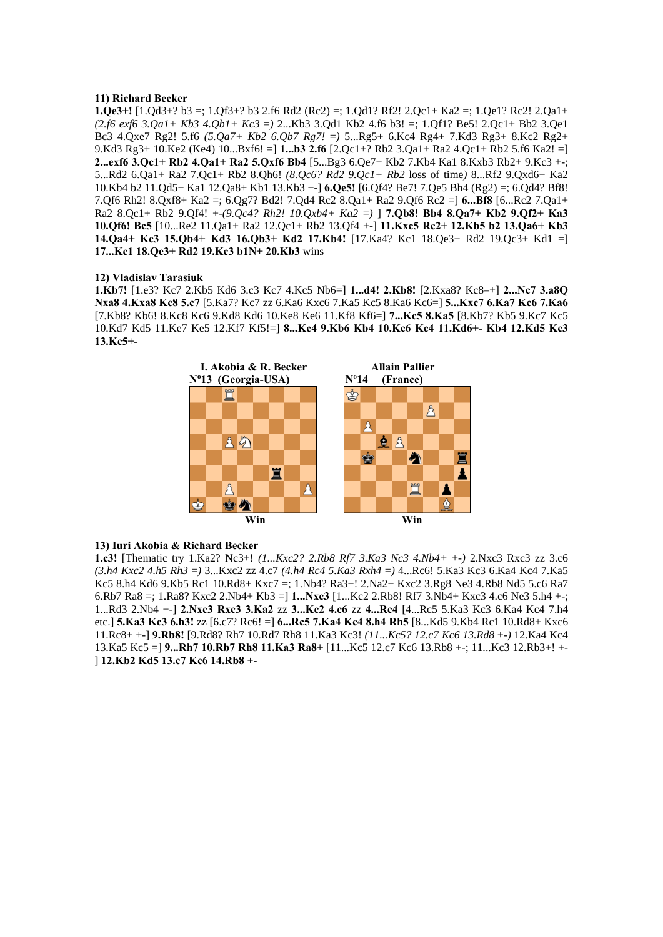# **11) Richard Becker**

**1.Qe3+!** [1.Qd3+? b3 =; 1.Qf3+? b3 2.f6 Rd2 (Rc2) =; 1.Qd1? Rf2! 2.Qc1+ Ka2 =; 1.Qe1? Rc2! 2.Qa1+ *(2.f6 exf6 3.Qa1+ Kb3 4.Qb1+ Kc3* =*)* 2...Kb3 3.Qd1 Kb2 4.f6 b3! =; 1.Qf1? Be5! 2.Qc1+ Bb2 3.Qe1 Bc3 4.Qxe7 Rg2! 5.f6 *(5.Qa7+ Kb2 6.Qb7 Rg7!* =*)* 5...Rg5+ 6.Kc4 Rg4+ 7.Kd3 Rg3+ 8.Kc2 Rg2+ 9.Kd3 Rg3+ 10.Ke2 (Ke4) 10...Bxf6! =] **1...b3 2.f6** [2.Qc1+? Rb2 3.Qa1+ Ra2 4.Qc1+ Rb2 5.f6 Ka2! =] **2...exf6 3.Qc1+ Rb2 4.Qa1+ Ra2 5.Qxf6 Bb4** [5...Bg3 6.Qe7+ Kb2 7.Kb4 Ka1 8.Kxb3 Rb2+ 9.Kc3 +-; 5...Rd2 6.Qa1+ Ra2 7.Qc1+ Rb2 8.Qh6! *(8.Qc6? Rd2 9.Qc1+ Rb2* loss of time*)* 8...Rf2 9.Qxd6+ Ka2 10.Kb4 b2 11.Qd5+ Ka1 12.Qa8+ Kb1 13.Kb3 +-] **6.Qe5!** [6.Qf4? Be7! 7.Qe5 Bh4 (Rg2) =; 6.Qd4? Bf8! 7.Qf6 Rh2! 8.Qxf8+ Ka2 =; 6.Qg7? Bd2! 7.Qd4 Rc2 8.Qa1+ Ra2 9.Qf6 Rc2 =] **6...Bf8** [6...Rc2 7.Qa1+ Ra2 8.Qc1+ Rb2 9.Qf4! +-*(9.Qc4? Rh2! 10.Qxb4+ Ka2* =*)* ] **7.Qb8! Bb4 8.Qa7+ Kb2 9.Qf2+ Ka3 10.Qf6! Bc5** [10...Re2 11.Qa1+ Ra2 12.Qc1+ Rb2 13.Qf4 +-] **11.Kxc5 Rc2+ 12.Kb5 b2 13.Qa6+ Kb3 14.Qa4+ Kc3 15.Qb4+ Kd3 16.Qb3+ Kd2 17.Kb4!** [17.Ka4? Kc1 18.Qe3+ Rd2 19.Qc3+ Kd1 =] **17...Kc1 18.Qe3+ Rd2 19.Kc3 b1N+ 20.Kb3** wins

### **12) Vladislav Tarasiuk**

**1.Kb7!** [1.e3? Kc7 2.Kb5 Kd6 3.c3 Kc7 4.Kc5 Nb6=] **1...d4! 2.Kb8!** [2.Kxa8? Kc8–+] **2...Nc7 3.a8Q Nxa8 4.Kxa8 Kc8 5.c7** [5.Ka7? Kc7 zz 6.Ka6 Kxc6 7.Ka5 Kc5 8.Ka6 Kc6=] **5...Kxc7 6.Ka7 Kc6 7.Ka6**  [7.Kb8? Kb6! 8.Kc8 Kc6 9.Kd8 Kd6 10.Ke8 Ke6 11.Kf8 Kf6=] **7...Kc5 8.Ka5** [8.Kb7? Kb5 9.Kc7 Kc5 10.Kd7 Kd5 11.Ke7 Ke5 12.Kf7 Kf5!=] **8...Kc4 9.Kb6 Kb4 10.Kc6 Kc4 11.Kd6+- Kb4 12.Kd5 Kc3 13.Kc5+-** 



# **13) Iuri Akobia & Richard Becker**

**1.c3!** [Thematic try 1.Ka2? Nc3+! *(1...Kxc2? 2.Rb8 Rf7 3.Ka3 Nc3 4.Nb4+* +-*)* 2.Nxc3 Rxc3 zz 3.c6 *(3.h4 Kxc2 4.h5 Rh3* =*)* 3...Kxc2 zz 4.c7 *(4.h4 Rc4 5.Ka3 Rxh4* =*)* 4...Rc6! 5.Ka3 Kc3 6.Ka4 Kc4 7.Ka5 Kc5 8.h4 Kd6 9.Kb5 Rc1 10.Rd8+ Kxc7 =; 1.Nb4? Ra3+! 2.Na2+ Kxc2 3.Rg8 Ne3 4.Rb8 Nd5 5.c6 Ra7 6.Rb7 Ra8 =; 1.Ra8? Kxc2 2.Nb4+ Kb3 =] **1...Nxc3** [1...Kc2 2.Rb8! Rf7 3.Nb4+ Kxc3 4.c6 Ne3 5.h4 +-; 1...Rd3 2.Nb4 +-] **2.Nxc3 Rxc3 3.Ka2** zz **3...Kc2 4.c6** zz **4...Rc4** [4...Rc5 5.Ka3 Kc3 6.Ka4 Kc4 7.h4 etc.] **5.Ka3 Kc3 6.h3!** zz [6.c7? Rc6! =] **6...Rc5 7.Ka4 Kc4 8.h4 Rh5** [8...Kd5 9.Kb4 Rc1 10.Rd8+ Kxc6 11.Rc8+ +-] **9.Rb8!** [9.Rd8? Rh7 10.Rd7 Rh8 11.Ka3 Kc3! *(11...Kc5? 12.c7 Kc6 13.Rd8* +-*)* 12.Ka4 Kc4 13.Ka5 Kc5 =] **9...Rh7 10.Rb7 Rh8 11.Ka3 Ra8+** [11...Kc5 12.c7 Kc6 13.Rb8 +-; 11...Kc3 12.Rb3+! +- ] **12.Kb2 Kd5 13.c7 Kc6 14.Rb8** +-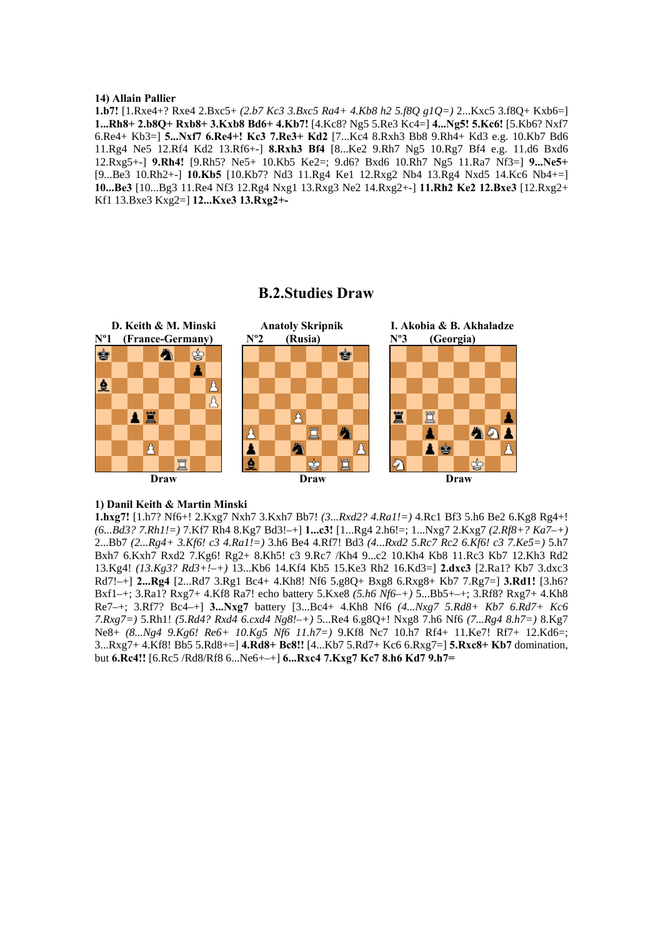#### **14) Allain Pallier**

**1.b7!** [1.Rxe4+? Rxe4 2.Bxc5+ *(2.b7 Kc3 3.Bxc5 Ra4+ 4.Kb8 h2 5.f8Q g1Q=)* 2...Kxc5 3.f8Q+ Kxb6=] **1...Rh8+ 2.b8Q+ Rxb8+ 3.Kxb8 Bd6+ 4.Kb7!** [4.Kc8? Ng5 5.Re3 Kc4=] **4...Ng5! 5.Kc6!** [5.Kb6? Nxf7 6.Re4+ Kb3=] **5...Nxf7 6.Re4+! Kc3 7.Re3+ Kd2** [7...Kc4 8.Rxh3 Bb8 9.Rh4+ Kd3 e.g. 10.Kb7 Bd6 11.Rg4 Ne5 12.Rf4 Kd2 13.Rf6+-] **8.Rxh3 Bf4** [8...Ke2 9.Rh7 Ng5 10.Rg7 Bf4 e.g. 11.d6 Bxd6 12.Rxg5+-] **9.Rh4!** [9.Rh5? Ne5+ 10.Kb5 Ke2=; 9.d6? Bxd6 10.Rh7 Ng5 11.Ra7 Nf3=] **9...Ne5+**  [9...Be3 10.Rh2+-] **10.Kb5** [10.Kb7? Nd3 11.Rg4 Ke1 12.Rxg2 Nb4 13.Rg4 Nxd5 14.Kc6 Nb4+=] **10...Be3** [10...Bg3 11.Re4 Nf3 12.Rg4 Nxg1 13.Rxg3 Ne2 14.Rxg2+-] **11.Rh2 Ke2 12.Bxe3** [12.Rxg2+ Kf1 13.Bxe3 Kxg2=] **12...Kxe3 13.Rxg2+-**

#### **D. Keith & M. Minski Anatoly Skripnik I. Akobia & B. Akhaladze Nº1 (France-Germany) Nº2 (Rusia) Nº3 (Georgia)**  ė ♔ ė A ₫  $\beta$ 罝 a e A Â Â  $99$ Ħ A Δ A S **Draw Draw Draw**

# **B.2.Studies Draw**

# **1) Danil Keith & Martin Minski**

**1.hxg7!** [1.h7? Nf6+! 2.Kxg7 Nxh7 3.Kxh7 Bb7! *(3...Rxd2? 4.Ra1!=)* 4.Rc1 Bf3 5.h6 Be2 6.Kg8 Rg4+! *(6...Bd3? 7.Rh1!=)* 7.Kf7 Rh4 8.Kg7 Bd3!–+] **1...c3!** [1...Rg4 2.h6!=; 1...Nxg7 2.Kxg7 *(2.Rf8+? Ka7–+)*  2...Bb7 *(2...Rg4+ 3.Kf6! c3 4.Ra1!=)* 3.h6 Be4 4.Rf7! Bd3 *(4...Rxd2 5.Rc7 Rc2 6.Kf6! c3 7.Ke5=)* 5.h7 Bxh7 6.Kxh7 Rxd2 7.Kg6! Rg2+ 8.Kh5! c3 9.Rc7 /Kh4 9...c2 10.Kh4 Kb8 11.Rc3 Kb7 12.Kh3 Rd2 13.Kg4! *(13.Kg3? Rd3+!–+)* 13...Kb6 14.Kf4 Kb5 15.Ke3 Rh2 16.Kd3=] **2.dxc3** [2.Ra1? Kb7 3.dxc3 Rd7!–+] **2...Rg4** [2...Rd7 3.Rg1 Bc4+ 4.Kh8! Nf6 5.g8Q+ Bxg8 6.Rxg8+ Kb7 7.Rg7=] **3.Rd1!** [3.h6? Bxf1–+; 3.Ra1? Rxg7+ 4.Kf8 Ra7! echo battery 5.Kxe8 *(5.h6 Nf6–+)* 5...Bb5+–+; 3.Rf8? Rxg7+ 4.Kh8 Re7–+; 3.Rf7? Bc4–+] **3...Nxg7** battery [3...Bc4+ 4.Kh8 Nf6 *(4...Nxg7 5.Rd8+ Kb7 6.Rd7+ Kc6 7.Rxg7=)* 5.Rh1! *(5.Rd4? Rxd4 6.cxd4 Ng8!–+)* 5...Re4 6.g8Q+! Nxg8 7.h6 Nf6 *(7...Rg4 8.h7=)* 8.Kg7 Ne8+ *(8...Ng4 9.Kg6! Re6+ 10.Kg5 Nf6 11.h7=)* 9.Kf8 Nc7 10.h7 Rf4+ 11.Ke7! Rf7+ 12.Kd6=; 3...Rxg7+ 4.Kf8! Bb5 5.Rd8+=] **4.Rd8+ Bc8!!** [4...Kb7 5.Rd7+ Kc6 6.Rxg7=] **5.Rxc8+ Kb7** domination, but **6.Rc4!!** [6.Rc5 /Rd8/Rf8 6...Ne6+–+] **6...Rxc4 7.Kxg7 Kc7 8.h6 Kd7 9.h7=**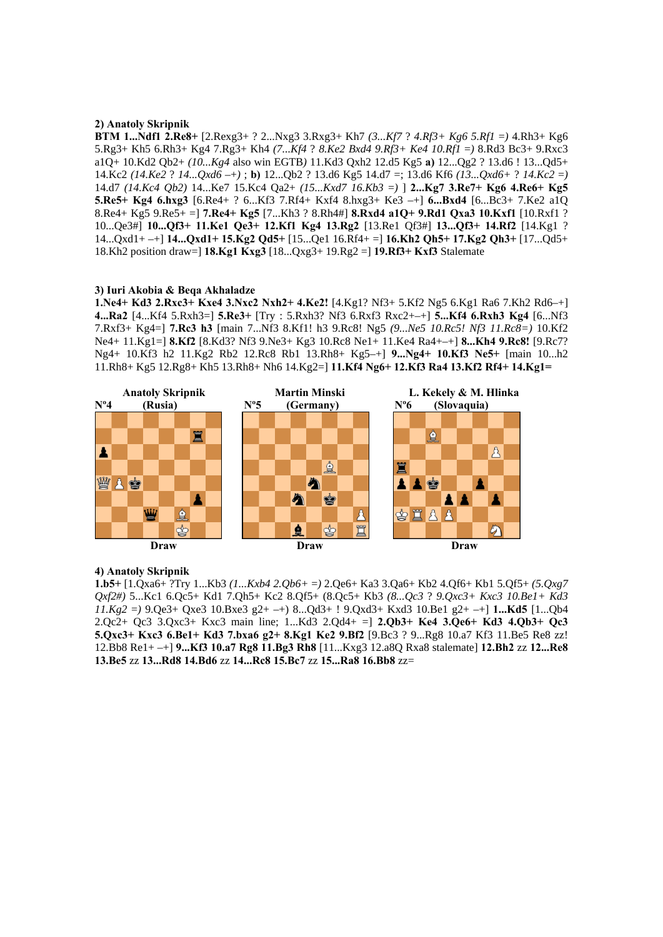### **2) Anatoly Skripnik**

**BTM 1...Ndf1 2.Re8+** [2.Rexg3+ ? 2...Nxg3 3.Rxg3+ Kh7 *(3...Kf7* ? *4.Rf3+ Kg6 5.Rf1* =*)* 4.Rh3+ Kg6 5.Rg3+ Kh5 6.Rh3+ Kg4 7.Rg3+ Kh4 *(7...Kf4* ? *8.Ke2 Bxd4 9.Rf3+ Ke4 10.Rf1* =*)* 8.Rd3 Bc3+ 9.Rxc3 a1Q+ 10.Kd2 Qb2+ *(10...Kg4* also win EGTB*)* 11.Kd3 Qxh2 12.d5 Kg5 **a)** 12...Qg2 ? 13.d6 ! 13...Qd5+ 14.Kc2 *(14.Ke2* ? *14...Qxd6* –+*)* ; **b)** 12...Qb2 ? 13.d6 Kg5 14.d7 =; 13.d6 Kf6 *(13...Qxd6+* ? *14.Kc2* =*)*  14.d7 *(14.Kc4 Qb2)* 14...Ke7 15.Kc4 Qa2+ *(15...Kxd7 16.Kb3* =*)* ] **2...Kg7 3.Re7+ Kg6 4.Re6+ Kg5 5.Re5+ Kg4 6.hxg3** [6.Re4+ ? 6...Kf3 7.Rf4+ Kxf4 8.hxg3+ Ke3 –+] **6...Bxd4** [6...Bc3+ 7.Ke2 a1Q 8.Re4+ Kg5 9.Re5+ =] **7.Re4+ Kg5** [7...Kh3 ? 8.Rh4#] **8.Rxd4 a1Q+ 9.Rd1 Qxa3 10.Kxf1** [10.Rxf1 ? 10...Qe3#] **10...Qf3+ 11.Ke1 Qe3+ 12.Kf1 Kg4 13.Rg2** [13.Re1 Qf3#] **13...Qf3+ 14.Rf2** [14.Kg1 ? 14...Qxd1+ –+] **14...Qxd1+ 15.Kg2 Qd5+** [15...Qe1 16.Rf4+ =] **16.Kh2 Qh5+ 17.Kg2 Qh3+** [17...Qd5+ 18.Kh2 position draw=] **18.Kg1 Kxg3** [18...Qxg3+ 19.Rg2 =] **19.Rf3+ Kxf3** Stalemate

### **3) Iuri Akobia & Beqa Akhaladze**

**1.Ne4+ Kd3 2.Rxc3+ Kxe4 3.Nxc2 Nxh2+ 4.Ke2!** [4.Kg1? Nf3+ 5.Kf2 Ng5 6.Kg1 Ra6 7.Kh2 Rd6–+] **4...Ra2** [4...Kf4 5.Rxh3=] **5.Re3+** [Try : 5.Rxh3? Nf3 6.Rxf3 Rxc2+–+] **5...Kf4 6.Rxh3 Kg4** [6...Nf3 7.Rxf3+ Kg4=] **7.Rc3 h3** [main 7...Nf3 8.Kf1! h3 9.Rc8! Ng5 *(9...Ne5 10.Rc5! Nf3 11.Rc8=)* 10.Kf2 Ne4+ 11.Kg1=] **8.Kf2** [8.Kd3? Nf3 9.Ne3+ Kg3 10.Rc8 Ne1+ 11.Ke4 Ra4+–+] **8...Kh4 9.Rc8!** [9.Rc7? Ng4+ 10.Kf3 h2 11.Kg2 Rb2 12.Rc8 Rb1 13.Rh8+ Kg5–+] **9...Ng4+ 10.Kf3 Ne5+** [main 10...h2 11.Rh8+ Kg5 12.Rg8+ Kh5 13.Rh8+ Nh6 14.Kg2=] **11.Kf4 Ng6+ 12.Kf3 Ra4 13.Kf2 Rf4+ 14.Kg1=** 



### **4) Anatoly Skripnik**

**1.b5+** [1.Qxa6+ ?Try 1...Kb3 *(1...Kxb4 2.Qb6+* =*)* 2.Qe6+ Ka3 3.Qa6+ Kb2 4.Qf6+ Kb1 5.Qf5+ *(5.Qxg7 Qxf2#)* 5...Kc1 6.Qc5+ Kd1 7.Qh5+ Kc2 8.Qf5+ (8.Qc5+ Kb3 *(8...Qc3* ? *9.Qxc3+ Kxc3 10.Be1+ Kd3 11.Kg2* =*)* 9.Qe3+ Qxe3 10.Bxe3 g2+ –+) 8...Qd3+ ! 9.Qxd3+ Kxd3 10.Be1 g2+ –+] **1...Kd5** [1...Qb4 2.Qc2+ Qc3 3.Qxc3+ Kxc3 main line; 1...Kd3 2.Qd4+ =] **2.Qb3+ Ke4 3.Qe6+ Kd3 4.Qb3+ Qc3 5.Qxc3+ Kxc3 6.Be1+ Kd3 7.bxa6 g2+ 8.Kg1 Ke2 9.Bf2** [9.Bc3 ? 9...Rg8 10.a7 Kf3 11.Be5 Re8 zz! 12.Bb8 Re1+ –+] **9...Kf3 10.a7 Rg8 11.Bg3 Rh8** [11...Kxg3 12.a8Q Rxa8 stalemate] **12.Bh2** zz **12...Re8 13.Be5** zz **13...Rd8 14.Bd6** zz **14...Rc8 15.Bc7** zz **15...Ra8 16.Bb8** zz=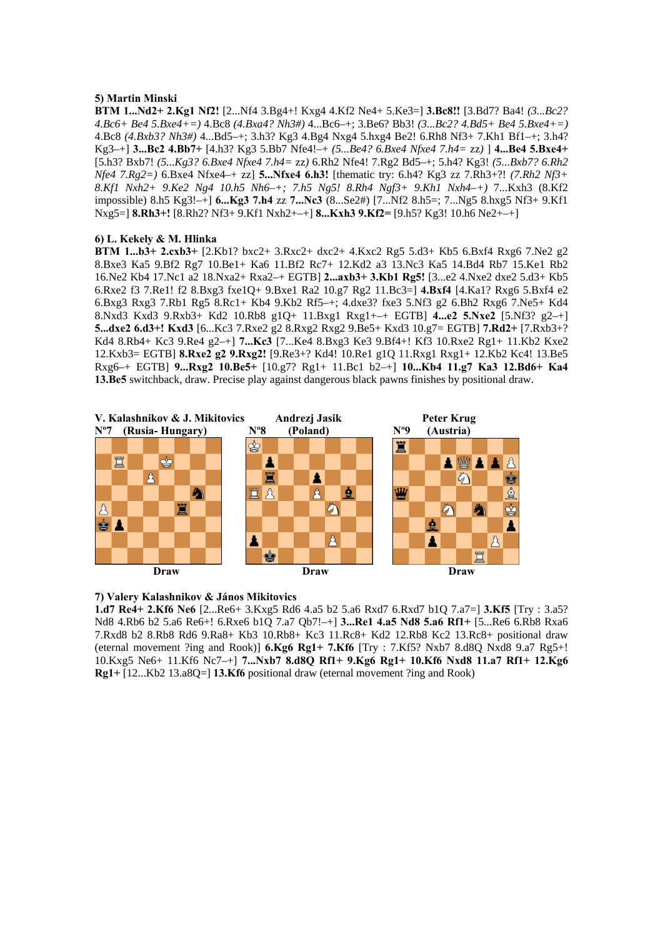# **5) Martin Minski**

**BTM 1...Nd2+ 2.Kg1 Nf2!** [2...Nf4 3.Bg4+! Kxg4 4.Kf2 Ne4+ 5.Ke3=] **3.Bc8!!** [3.Bd7? Ba4! *(3...Bc2? 4.Bc6+ Be4 5.Bxe4+=)* 4.Bc8 *(4.Bxa4? Nh3#)* 4...Bc6–+; 3.Be6? Bb3! *(3...Bc2? 4.Bd5+ Be4 5.Bxe4+=)*  4.Bc8 *(4.Bxb3? Nh3#)* 4...Bd5–+; 3.h3? Kg3 4.Bg4 Nxg4 5.hxg4 Be2! 6.Rh8 Nf3+ 7.Kh1 Bf1–+; 3.h4? Kg3–+] **3...Bc2 4.Bb7+** [4.h3? Kg3 5.Bb7 Nfe4!–+ *(5...Be4? 6.Bxe4 Nfxe4 7.h4=* zz*)* ] **4...Be4 5.Bxe4+**  [5.h3? Bxb7! *(5...Kg3? 6.Bxe4 Nfxe4 7.h4=* zz*)* 6.Rh2 Nfe4! 7.Rg2 Bd5–+; 5.h4? Kg3! *(5...Bxb7? 6.Rh2 Nfe4 7.Rg2=)* 6.Bxe4 Nfxe4–+ zz] **5...Nfxe4 6.h3!** [thematic try: 6.h4? Kg3 zz 7.Rh3+?! *(7.Rh2 Nf3+ 8.Kf1 Nxh2+ 9.Ke2 Ng4 10.h5 Nh6–+; 7.h5 Ng5! 8.Rh4 Ngf3+ 9.Kh1 Nxh4–+)* 7...Kxh3 (8.Kf2 impossible) 8.h5 Kg3!–+] **6...Kg3 7.h4** zz **7...Nc3** (8...Se2#) [7...Nf2 8.h5=; 7...Ng5 8.hxg5 Nf3+ 9.Kf1 Nxg5=] **8.Rh3+!** [8.Rh2? Nf3+ 9.Kf1 Nxh2+–+] **8...Kxh3 9.Kf2=** [9.h5? Kg3! 10.h6 Ne2+–+]

# **6) L. Kekely & M. Hlinka**

**BTM 1...b3+ 2.cxb3+** [2.Kb1? bxc2+ 3.Rxc2+ dxc2+ 4.Kxc2 Rg5 5.d3+ Kb5 6.Bxf4 Rxg6 7.Ne2 g2 8.Bxe3 Ka5 9.Bf2 Rg7 10.Be1+ Ka6 11.Bf2 Rc7+ 12.Kd2 a3 13.Nc3 Ka5 14.Bd4 Rb7 15.Ke1 Rb2 16.Ne2 Kb4 17.Nc1 a2 18.Nxa2+ Rxa2–+ EGTB] **2...axb3+ 3.Kb1 Rg5!** [3...e2 4.Nxe2 dxe2 5.d3+ Kb5 6.Rxe2 f3 7.Re1! f2 8.Bxg3 fxe1Q+ 9.Bxe1 Ra2 10.g7 Rg2 11.Bc3=] **4.Bxf4** [4.Ka1? Rxg6 5.Bxf4 e2 6.Bxg3 Rxg3 7.Rb1 Rg5 8.Rc1+ Kb4 9.Kb2 Rf5–+; 4.dxe3? fxe3 5.Nf3 g2 6.Bh2 Rxg6 7.Ne5+ Kd4 8.Nxd3 Kxd3 9.Rxb3+ Kd2 10.Rb8 g1Q+ 11.Bxg1 Rxg1+–+ EGTB] **4...e2 5.Nxe2** [5.Nf3? g2–+] **5...dxe2 6.d3+! Kxd3** [6...Kc3 7.Rxe2 g2 8.Rxg2 Rxg2 9.Be5+ Kxd3 10.g7= EGTB] **7.Rd2+** [7.Rxb3+? Kd4 8.Rb4+ Kc3 9.Re4 g2–+] **7...Kc3** [7...Ke4 8.Bxg3 Ke3 9.Bf4+! Kf3 10.Rxe2 Rg1+ 11.Kb2 Kxe2 12.Kxb3= EGTB] **8.Rxe2 g2 9.Rxg2!** [9.Re3+? Kd4! 10.Re1 g1Q 11.Rxg1 Rxg1+ 12.Kb2 Kc4! 13.Be5 Rxg6–+ EGTB] **9...Rxg2 10.Be5+** [10.g7? Rg1+ 11.Bc1 b2–+] **10...Kb4 11.g7 Ka3 12.Bd6+ Ka4 13.Be5** switchback, draw. Precise play against dangerous black pawns finishes by positional draw.



### **7) Valery Kalashnikov & János Mikitovics**

**1.d7 Re4+ 2.Kf6 Ne6** [2...Re6+ 3.Kxg5 Rd6 4.a5 b2 5.a6 Rxd7 6.Rxd7 b1Q 7.a7=] **3.Kf5** [Try : 3.a5? Nd8 4.Rb6 b2 5.a6 Re6+! 6.Rxe6 b1Q 7.a7 Qb7!–+] **3...Re1 4.a5 Nd8 5.a6 Rf1+** [5...Re6 6.Rb8 Rxa6 7.Rxd8 b2 8.Rb8 Rd6 9.Ra8+ Kb3 10.Rb8+ Kc3 11.Rc8+ Kd2 12.Rb8 Kc2 13.Rc8+ positional draw (eternal movement ?ing and Rook)] **6.Kg6 Rg1+ 7.Kf6** [Try : 7.Kf5? Nxb7 8.d8Q Nxd8 9.a7 Rg5+! 10.Kxg5 Ne6+ 11.Kf6 Nc7–+] **7...Nxb7 8.d8Q Rf1+ 9.Kg6 Rg1+ 10.Kf6 Nxd8 11.a7 Rf1+ 12.Kg6 Rg1+** [12...Kb2 13.a8Q=] **13.Kf6** positional draw (eternal movement ?ing and Rook)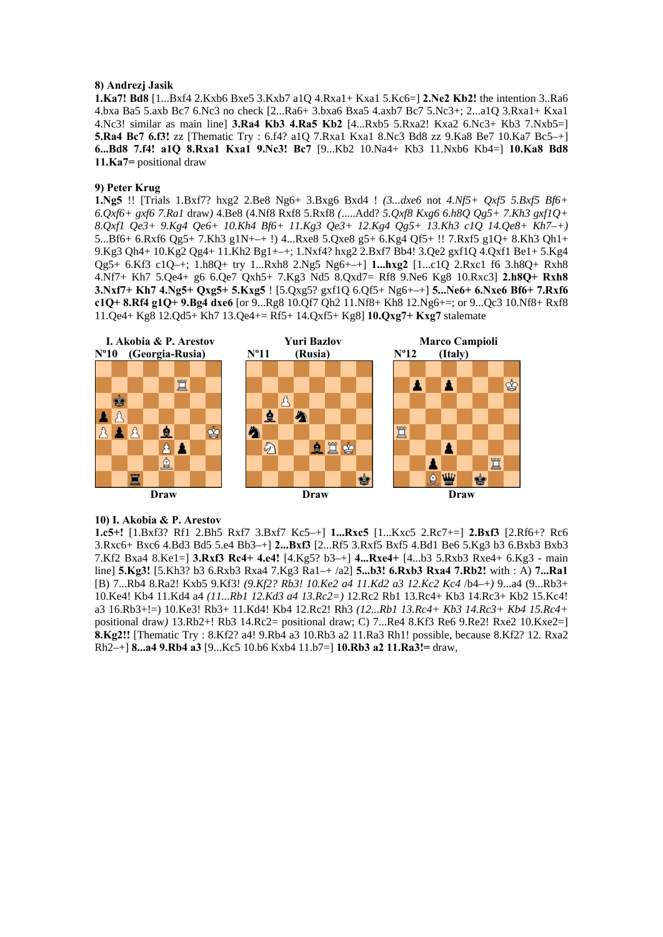# **8) Andrezj Jasik**

**1.Ka7! Bd8** [1...Bxf4 2.Kxb6 Bxe5 3.Kxb7 a1Q 4.Rxa1+ Kxa1 5.Kc6=] **2.Ne2 Kb2!** the intention 3..Ra6 4.bxa Ba5 5.axb Bc7 6.Nc3 no check [2...Ra6+ 3.bxa6 Bxa5 4.axb7 Bc7 5.Nc3+; 2...a1Q 3.Rxa1+ Kxa1 4.Nc3! similar as main line] **3.Ra4 Kb3 4.Ra5 Kb2** [4...Rxb5 5.Rxa2! Kxa2 6.Nc3+ Kb3 7.Nxb5=] **5.Ra4 Bc7 6.f3!** zz [Thematic Try : 6.f4? a1Q 7.Rxa1 Kxa1 8.Nc3 Bd8 zz 9.Ka8 Be7 10.Ka7 Bc5–+] **6...Bd8 7.f4! a1Q 8.Rxa1 Kxa1 9.Nc3! Bc7** [9...Kb2 10.Na4+ Kb3 11.Nxb6 Kb4=] **10.Ka8 Bd8 11.Ka7=** positional draw

# **9) Peter Krug**

**1.Ng5** !! [Trials 1.Bxf7? hxg2 2.Be8 Ng6+ 3.Bxg6 Bxd4 ! *(3...dxe6* not *4.Nf5+ Qxf5 5.Bxf5 Bf6+ 6.Qxf6+ gxf6 7.Ra1* draw*)* 4.Be8 (4.Nf8 Rxf8 5.Rxf8 *(*.....Add? *5.Qxf8 Kxg6 6.h8Q Qg5+ 7.Kh3 gxf1Q+ 8.Qxf1 Qe3+ 9.Kg4 Qe6+ 10.Kh4 Bf6+ 11.Kg3 Qe3+ 12.Kg4 Qg5+ 13.Kh3 c1Q 14.Qe8+ Kh7–+)*  5...Bf6+ 6.Rxf6 Qg5+ 7.Kh3 g1N+–+ !) 4...Rxe8 5.Qxe8 g5+ 6.Kg4 Qf5+ !! 7.Rxf5 g1Q+ 8.Kh3 Qh1+ 9.Kg3 Qh4+ 10.Kg2 Qg4+ 11.Kh2 Bg1+–+; 1.Nxf4? hxg2 2.Bxf7 Bb4! 3.Qe2 gxf1Q 4.Qxf1 Be1+ 5.Kg4 Qg5+ 6.Kf3 c1Q–+; 1.h8Q+ try 1...Rxh8 2.Ng5 Ng6+–+] **1...hxg2** [1...c1Q 2.Rxc1 f6 3.h8Q+ Rxh8 4.Nf7+ Kh7 5.Qe4+ g6 6.Qe7 Qxh5+ 7.Kg3 Nd5 8.Qxd7= Rf8 9.Ne6 Kg8 10.Rxc3] **2.h8Q+ Rxh8 3.Nxf7+ Kh7 4.Ng5+ Qxg5+ 5.Kxg5** ! [5.Qxg5? gxf1Q 6.Qf5+ Ng6+–+] **5...Ne6+ 6.Nxe6 Bf6+ 7.Rxf6 c1Q+ 8.Rf4 g1Q+ 9.Bg4 dxe6** [or 9...Rg8 10.Qf7 Qh2 11.Nf8+ Kh8 12.Ng6+=; or 9...Qc3 10.Nf8+ Rxf8 11.Qe4+ Kg8 12.Qd5+ Kh7 13.Qe4+= Rf5+ 14.Qxf5+ Kg8] **10.Qxg7+ Kxg7** stalemate



# **10) I. Akobia & P. Arestov**

**1.c5+!** [1.Bxf3? Rf1 2.Bh5 Rxf7 3.Bxf7 Kc5–+] **1...Rxc5** [1...Kxc5 2.Rc7+=] **2.Bxf3** [2.Rf6+? Rc6 3.Rxc6+ Bxc6 4.Bd3 Bd5 5.e4 Bb3–+] **2...Bxf3** [2...Rf5 3.Rxf5 Bxf5 4.Bd1 Be6 5.Kg3 b3 6.Bxb3 Bxb3 7.Kf2 Bxa4 8.Ke1=] **3.Rxf3 Rc4+ 4.e4!** [4.Kg5? b3–+] **4...Rxe4+** [4...b3 5.Rxb3 Rxe4+ 6.Kg3 - main line] **5.Kg3!** [5.Kh3? b3 6.Rxb3 Rxa4 7.Kg3 Ra1–+ /a2] **5...b3! 6.Rxb3 Rxa4 7.Rb2!** with : A) **7...Ra1**  [B) 7...Rb4 8.Ra2! Kxb5 9.Kf3! *(9.Kf2? Rb3! 10.Ke2 a4 11.Kd2 a3 12.Kc2 Kc4* /b4–+*)* 9...a4 (9...Rb3+ 10.Ke4! Kb4 11.Kd4 a4 *(11...Rb1 12.Kd3 a4 13.Rc2=)* 12.Rc2 Rb1 13.Rc4+ Kb3 14.Rc3+ Kb2 15.Kc4! a3 16.Rb3+!=) 10.Ke3! Rb3+ 11.Kd4! Kb4 12.Rc2! Rh3 *(12...Rb1 13.Rc4+ Kb3 14.Rc3+ Kb4 15.Rc4+*  positional draw*)* 13.Rb2+! Rb3 14.Rc2= positional draw; C) 7...Re4 8.Kf3 Re6 9.Re2! Rxe2 10.Kxe2=] **8.Kg2!!** [Thematic Try : 8.Kf2? a4! 9.Rb4 a3 10.Rb3 a2 11.Ra3 Rh1! possible, because 8.Kf2? 12. Rxa2 Rh2–+] **8...a4 9.Rb4 a3** [9...Kc5 10.b6 Kxb4 11.b7=] **10.Rb3 a2 11.Ra3!=** draw,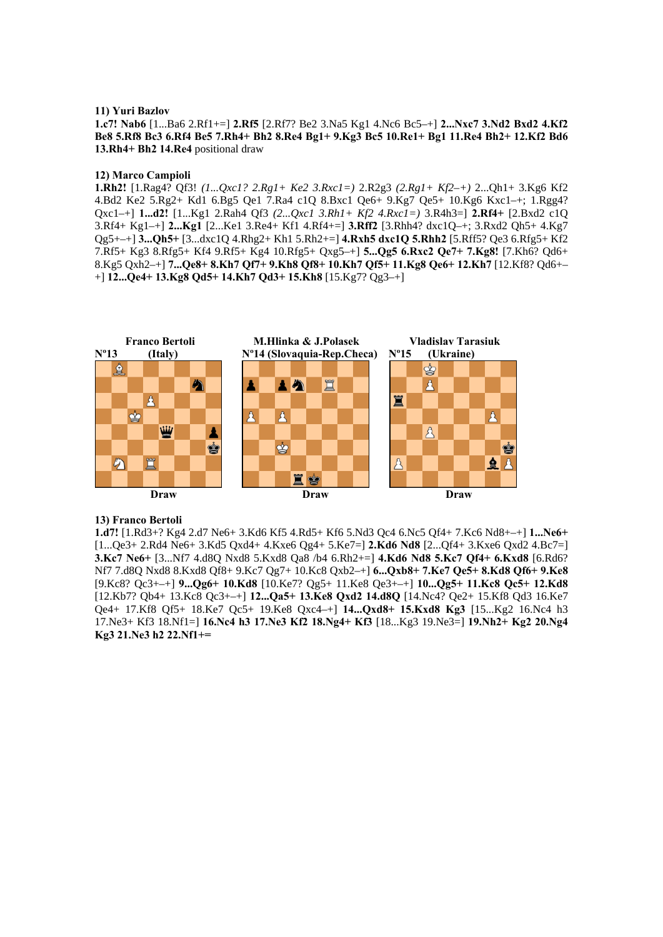#### **11) Yuri Bazlov**

**1.c7! Nab6** [1...Ba6 2.Rf1+=] **2.Rf5** [2.Rf7? Be2 3.Na5 Kg1 4.Nc6 Bc5–+] **2...Nxc7 3.Nd2 Bxd2 4.Kf2 Be8 5.Rf8 Bc3 6.Rf4 Be5 7.Rh4+ Bh2 8.Re4 Bg1+ 9.Kg3 Bc5 10.Re1+ Bg1 11.Re4 Bh2+ 12.Kf2 Bd6 13.Rh4+ Bh2 14.Re4** positional draw

#### **12) Marco Campioli**

**1.Rh2!** [1.Rag4? Qf3! *(1...Qxc1? 2.Rg1+ Ke2 3.Rxc1=)* 2.R2g3 *(2.Rg1+ Kf2–+)* 2...Qh1+ 3.Kg6 Kf2 4.Bd2 Ke2 5.Rg2+ Kd1 6.Bg5 Qe1 7.Ra4 c1Q 8.Bxc1 Qe6+ 9.Kg7 Qe5+ 10.Kg6 Kxc1–+; 1.Rgg4? Qxc1–+] **1...d2!** [1...Kg1 2.Rah4 Qf3 *(2...Qxc1 3.Rh1+ Kf2 4.Rxc1=)* 3.R4h3=] **2.Rf4+** [2.Bxd2 c1Q 3.Rf4+ Kg1–+] **2...Kg1** [2...Ke1 3.Re4+ Kf1 4.Rf4+=] **3.Rff2** [3.Rhh4? dxc1Q–+; 3.Rxd2 Qh5+ 4.Kg7 Qg5+–+] **3...Qh5+** [3...dxc1Q 4.Rhg2+ Kh1 5.Rh2+=] **4.Rxh5 dxc1Q 5.Rhh2** [5.Rff5? Qe3 6.Rfg5+ Kf2 7.Rf5+ Kg3 8.Rfg5+ Kf4 9.Rf5+ Kg4 10.Rfg5+ Qxg5–+] **5...Qg5 6.Rxc2 Qe7+ 7.Kg8!** [7.Kh6? Qd6+ 8.Kg5 Qxh2–+] **7...Qe8+ 8.Kh7 Qf7+ 9.Kh8 Qf8+ 10.Kh7 Qf5+ 11.Kg8 Qe6+ 12.Kh7** [12.Kf8? Qd6+– +] **12...Qe4+ 13.Kg8 Qd5+ 14.Kh7 Qd3+ 15.Kh8** [15.Kg7? Qg3–+]



# **13) Franco Bertoli**

**1.d7!** [1.Rd3+? Kg4 2.d7 Ne6+ 3.Kd6 Kf5 4.Rd5+ Kf6 5.Nd3 Qc4 6.Nc5 Qf4+ 7.Kc6 Nd8+–+] **1...Ne6+**  [1...Qe3+ 2.Rd4 Ne6+ 3.Kd5 Qxd4+ 4.Kxe6 Qg4+ 5.Ke7=] **2.Kd6 Nd8** [2...Qf4+ 3.Kxe6 Qxd2 4.Bc7=] **3.Kc7 Ne6+** [3...Nf7 4.d8Q Nxd8 5.Kxd8 Qa8 /b4 6.Rh2+=] **4.Kd6 Nd8 5.Kc7 Qf4+ 6.Kxd8** [6.Rd6? Nf7 7.d8Q Nxd8 8.Kxd8 Qf8+ 9.Kc7 Qg7+ 10.Kc8 Qxb2–+] **6...Qxb8+ 7.Ke7 Qe5+ 8.Kd8 Qf6+ 9.Ke8**  [9.Kc8? Qc3+–+] **9...Qg6+ 10.Kd8** [10.Ke7? Qg5+ 11.Ke8 Qe3+–+] **10...Qg5+ 11.Kc8 Qc5+ 12.Kd8**  [12.Kb7? Qb4+ 13.Kc8 Qc3+–+] **12...Qa5+ 13.Ke8 Qxd2 14.d8Q** [14.Nc4? Qe2+ 15.Kf8 Qd3 16.Ke7 Qe4+ 17.Kf8 Qf5+ 18.Ke7 Qc5+ 19.Ke8 Qxc4–+] **14...Qxd8+ 15.Kxd8 Kg3** [15...Kg2 16.Nc4 h3 17.Ne3+ Kf3 18.Nf1=] **16.Nc4 h3 17.Ne3 Kf2 18.Ng4+ Kf3** [18...Kg3 19.Ne3=] **19.Nh2+ Kg2 20.Ng4 Kg3 21.Ne3 h2 22.Nf1+=**